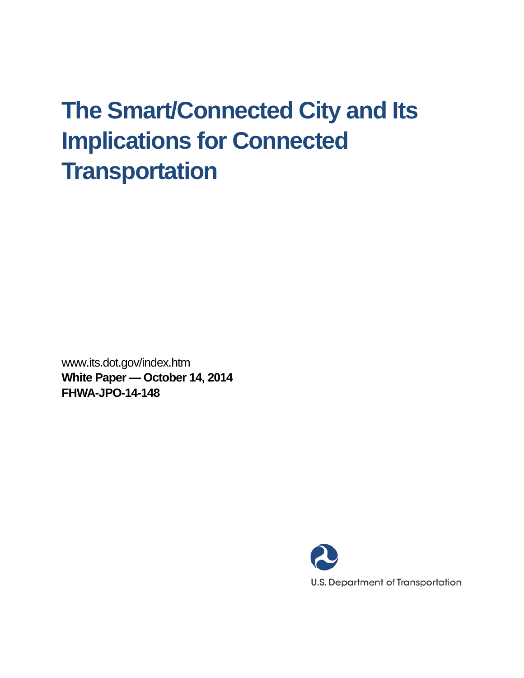# **The Smart/Connected City and Its Implications for Connected Transportation**

www.its.dot.gov/index.htm **White Paper — October 14, 2014 FHWA-JPO-14-148**

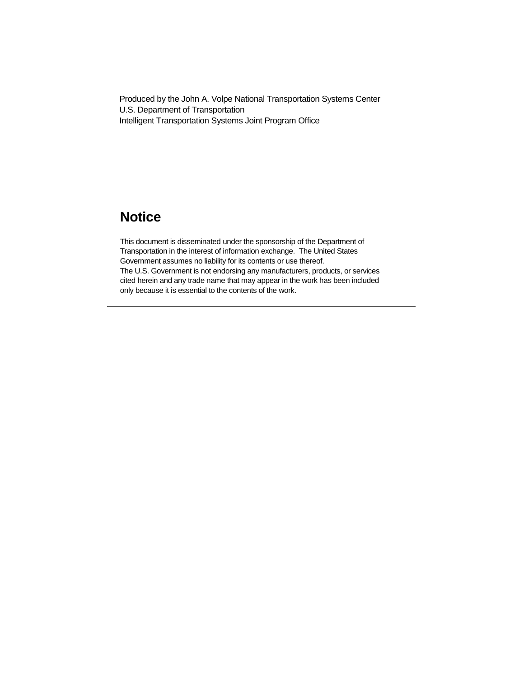Produced by the John A. Volpe National Transportation Systems Center U.S. Department of Transportation Intelligent Transportation Systems Joint Program Office

## **Notice**

This document is disseminated under the sponsorship of the Department of Transportation in the interest of information exchange. The United States Government assumes no liability for its contents or use thereof. The U.S. Government is not endorsing any manufacturers, products, or services cited herein and any trade name that may appear in the work has been included only because it is essential to the contents of the work.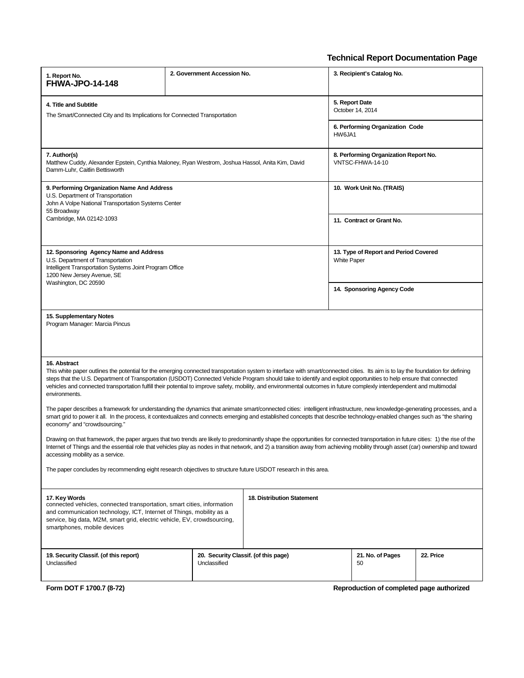### **Technical Report Documentation Page**

| 1. Report No.<br><b>FHWA-JPO-14-148</b>                                                                                                                                                                                                                                                                                                                                                                                                                                                                                                                            | 2. Government Accession No. |                                      | 3. Recipient's Catalog No.                                |           |
|--------------------------------------------------------------------------------------------------------------------------------------------------------------------------------------------------------------------------------------------------------------------------------------------------------------------------------------------------------------------------------------------------------------------------------------------------------------------------------------------------------------------------------------------------------------------|-----------------------------|--------------------------------------|-----------------------------------------------------------|-----------|
| 4. Title and Subtitle<br>The Smart/Connected City and Its Implications for Connected Transportation                                                                                                                                                                                                                                                                                                                                                                                                                                                                |                             |                                      | 5. Report Date<br>October 14, 2014                        |           |
|                                                                                                                                                                                                                                                                                                                                                                                                                                                                                                                                                                    |                             | HW6JA1                               | 6. Performing Organization Code                           |           |
| 7. Author(s)<br>Matthew Cuddy, Alexander Epstein, Cynthia Maloney, Ryan Westrom, Joshua Hassol, Anita Kim, David<br>Damm-Luhr, Caitlin Bettisworth                                                                                                                                                                                                                                                                                                                                                                                                                 |                             |                                      | 8. Performing Organization Report No.<br>VNTSC-FHWA-14-10 |           |
| 9. Performing Organization Name And Address<br>U.S. Department of Transportation<br>John A Volpe National Transportation Systems Center<br>55 Broadway<br>Cambridge, MA 02142-1093                                                                                                                                                                                                                                                                                                                                                                                 |                             |                                      | 10. Work Unit No. (TRAIS)                                 |           |
|                                                                                                                                                                                                                                                                                                                                                                                                                                                                                                                                                                    |                             |                                      | 11. Contract or Grant No.                                 |           |
| 12. Sponsoring Agency Name and Address<br>U.S. Department of Transportation<br>Intelligent Transportation Systems Joint Program Office<br>1200 New Jersey Avenue, SE<br>Washington, DC 20590                                                                                                                                                                                                                                                                                                                                                                       |                             | <b>White Paper</b>                   | 13. Type of Report and Period Covered                     |           |
|                                                                                                                                                                                                                                                                                                                                                                                                                                                                                                                                                                    |                             |                                      | 14. Sponsoring Agency Code                                |           |
| 15. Supplementary Notes<br>Program Manager: Marcia Pincus                                                                                                                                                                                                                                                                                                                                                                                                                                                                                                          |                             |                                      |                                                           |           |
| 16. Abstract<br>This white paper outlines the potential for the emerging connected transportation system to interface with smart/connected cities. Its aim is to lay the foundation for defining<br>steps that the U.S. Department of Transportation (USDOT) Connected Vehicle Program should take to identify and exploit opportunities to help ensure that connected<br>vehicles and connected transportation fulfill their potential to improve safety, mobility, and environmental outcomes in future complexly interdependent and multimodal<br>environments. |                             |                                      |                                                           |           |
| The paper describes a framework for understanding the dynamics that animate smart/connected cities: intelligent infrastructure, new knowledge-generating processes, and a<br>smart grid to power it all. In the process, it contextualizes and connects emerging and established concepts that describe technology-enabled changes such as "the sharing<br>economy" and "crowdsourcing."                                                                                                                                                                           |                             |                                      |                                                           |           |
| Drawing on that framework, the paper argues that two trends are likely to predominantly shape the opportunities for connected transportation in future cities: 1) the rise of the<br>Internet of Things and the essential role that vehicles play as nodes in that network, and 2) a transition away from achieving mobility through asset (car) ownership and toward<br>accessing mobility as a service.                                                                                                                                                          |                             |                                      |                                                           |           |
| The paper concludes by recommending eight research objectives to structure future USDOT research in this area.                                                                                                                                                                                                                                                                                                                                                                                                                                                     |                             |                                      |                                                           |           |
| 17. Key Words<br>connected vehicles, connected transportation, smart cities, information<br>and communication technology, ICT, Internet of Things, mobility as a<br>service, big data, M2M, smart grid, electric vehicle, EV, crowdsourcing,<br>smartphones, mobile devices                                                                                                                                                                                                                                                                                        |                             | <b>18. Distribution Statement</b>    |                                                           |           |
| 19. Security Classif. (of this report)<br>Unclassified                                                                                                                                                                                                                                                                                                                                                                                                                                                                                                             | Unclassified                | 20. Security Classif. (of this page) | 21. No. of Pages<br>50                                    | 22. Price |

**Form DOT F 1700.7 (8-72) Reproduction of completed page authorized**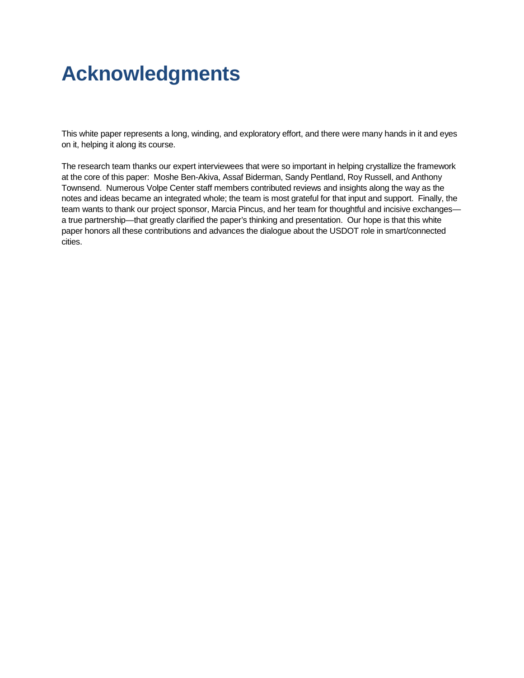## **Acknowledgments**

This white paper represents a long, winding, and exploratory effort, and there were many hands in it and eyes on it, helping it along its course.

The research team thanks our expert interviewees that were so important in helping crystallize the framework at the core of this paper: Moshe Ben-Akiva, Assaf Biderman, Sandy Pentland, Roy Russell, and Anthony Townsend. Numerous Volpe Center staff members contributed reviews and insights along the way as the notes and ideas became an integrated whole; the team is most grateful for that input and support. Finally, the team wants to thank our project sponsor, Marcia Pincus, and her team for thoughtful and incisive exchanges a true partnership—that greatly clarified the paper's thinking and presentation. Our hope is that this white paper honors all these contributions and advances the dialogue about the USDOT role in smart/connected cities.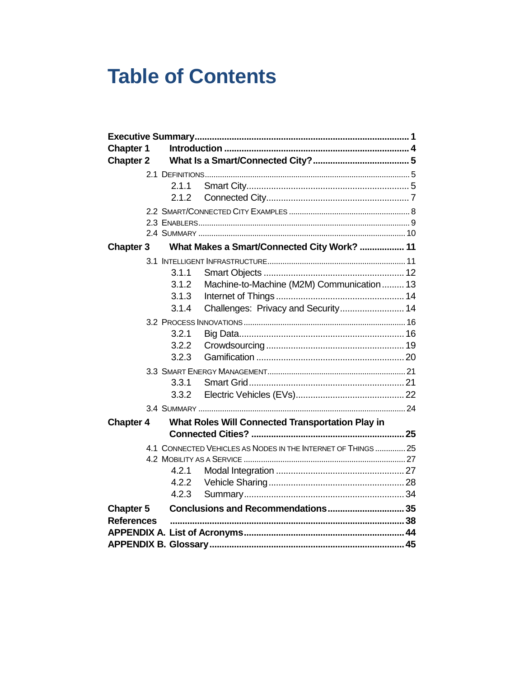## **Table of Contents**

| <b>Chapter 1</b>  |                                                               |  |
|-------------------|---------------------------------------------------------------|--|
| <b>Chapter 2</b>  |                                                               |  |
|                   |                                                               |  |
| 2.1.1             |                                                               |  |
| 2.1.2             |                                                               |  |
|                   |                                                               |  |
|                   |                                                               |  |
|                   |                                                               |  |
| <b>Chapter 3</b>  | What Makes a Smart/Connected City Work?  11                   |  |
|                   |                                                               |  |
| 3.1.1             |                                                               |  |
| 3.1.2             | Machine-to-Machine (M2M) Communication  13                    |  |
| 3.1.3             |                                                               |  |
| 3.1.4             | Challenges: Privacy and Security 14                           |  |
|                   |                                                               |  |
| 3.2.1             |                                                               |  |
| 3.2.2             |                                                               |  |
| 3.2.3             |                                                               |  |
|                   |                                                               |  |
| 3.3.1             |                                                               |  |
| 3.3.2             |                                                               |  |
|                   |                                                               |  |
| <b>Chapter 4</b>  | What Roles Will Connected Transportation Play in              |  |
|                   |                                                               |  |
|                   | 4.1 CONNECTED VEHICLES AS NODES IN THE INTERNET OF THINGS  25 |  |
|                   |                                                               |  |
| 4.2.1             |                                                               |  |
| 4.2.2             |                                                               |  |
| 4.2.3             |                                                               |  |
| <b>Chapter 5</b>  | Conclusions and Recommendations 35                            |  |
| <b>References</b> |                                                               |  |
|                   |                                                               |  |
|                   |                                                               |  |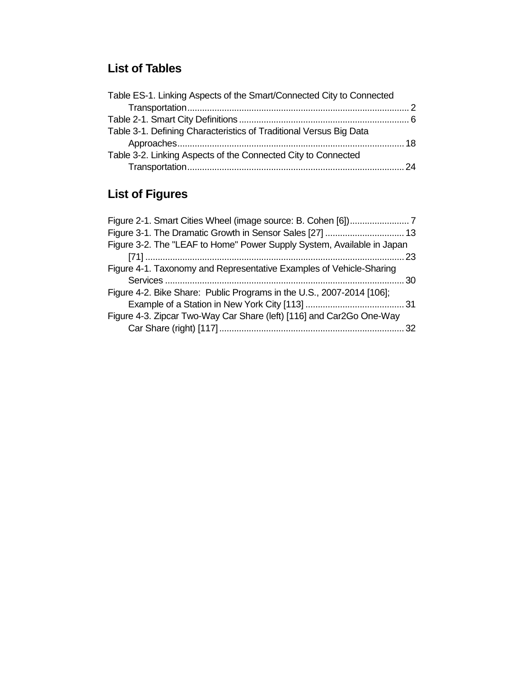## **List of Tables**

## **List of Figures**

| Figure 3-1. The Dramatic Growth in Sensor Sales [27]  13               |    |
|------------------------------------------------------------------------|----|
| Figure 3-2. The "LEAF to Home" Power Supply System, Available in Japan |    |
|                                                                        |    |
| Figure 4-1. Taxonomy and Representative Examples of Vehicle-Sharing    |    |
|                                                                        |    |
| Figure 4-2. Bike Share: Public Programs in the U.S., 2007-2014 [106];  |    |
|                                                                        |    |
| Figure 4-3. Zipcar Two-Way Car Share (left) [116] and Car2Go One-Way   |    |
|                                                                        | 32 |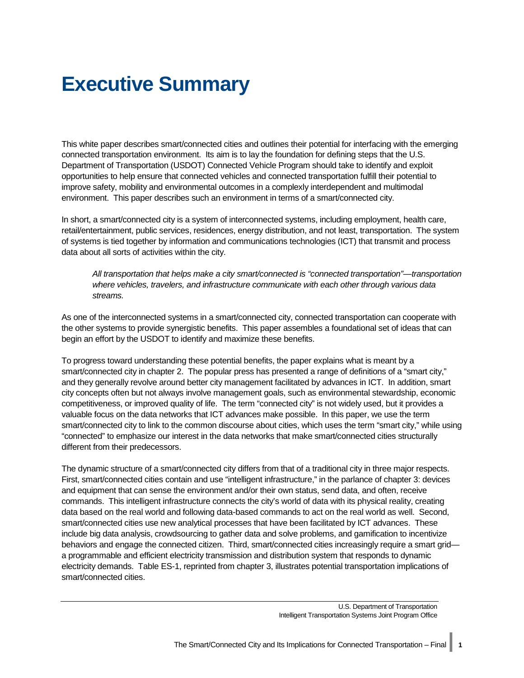## <span id="page-6-0"></span>**Executive Summary**

This white paper describes smart/connected cities and outlines their potential for interfacing with the emerging connected transportation environment. Its aim is to lay the foundation for defining steps that the U.S. Department of Transportation (USDOT) Connected Vehicle Program should take to identify and exploit opportunities to help ensure that connected vehicles and connected transportation fulfill their potential to improve safety, mobility and environmental outcomes in a complexly interdependent and multimodal environment. This paper describes such an environment in terms of a smart/connected city.

In short, a smart/connected city is a system of interconnected systems, including employment, health care, retail/entertainment, public services, residences, energy distribution, and not least, transportation. The system of systems is tied together by information and communications technologies (ICT) that transmit and process data about all sorts of activities within the city.

*All transportation that helps make a city smart/connected is "connected transportation"—transportation where vehicles, travelers, and infrastructure communicate with each other through various data streams.*

As one of the interconnected systems in a smart/connected city, connected transportation can cooperate with the other systems to provide synergistic benefits. This paper assembles a foundational set of ideas that can begin an effort by the USDOT to identify and maximize these benefits.

To progress toward understanding these potential benefits, the paper explains what is meant by a smart/connected city in chapter 2. The popular press has presented a range of definitions of a "smart city," and they generally revolve around better city management facilitated by advances in ICT. In addition, smart city concepts often but not always involve management goals, such as environmental stewardship, economic competitiveness, or improved quality of life. The term "connected city" is not widely used, but it provides a valuable focus on the data networks that ICT advances make possible. In this paper, we use the term smart/connected city to link to the common discourse about cities, which uses the term "smart city," while using "connected" to emphasize our interest in the data networks that make smart/connected cities structurally different from their predecessors.

The dynamic structure of a smart/connected city differs from that of a traditional city in three major respects. First, smart/connected cities contain and use "intelligent infrastructure," in the parlance of chapter 3: devices and equipment that can sense the environment and/or their own status, send data, and often, receive commands. This intelligent infrastructure connects the city's world of data with its physical reality, creating data based on the real world and following data-based commands to act on the real world as well. Second, smart/connected cities use new analytical processes that have been facilitated by ICT advances. These include big data analysis, crowdsourcing to gather data and solve problems, and gamification to incentivize behaviors and engage the connected citizen. Third, smart/connected cities increasingly require a smart grid a programmable and efficient electricity transmission and distribution system that responds to dynamic electricity demands. [Table ES-1,](#page-7-0) reprinted from chapter 3, illustrates potential transportation implications of smart/connected cities.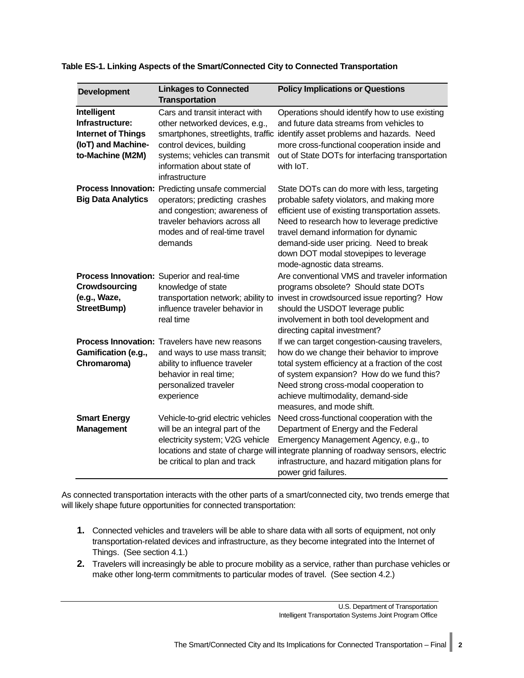| <b>Development</b>                                                                                    | <b>Linkages to Connected</b><br><b>Transportation</b>                                                                                                                                                                 | <b>Policy Implications or Questions</b>                                                                                                                                                                                                                                                                                                                  |
|-------------------------------------------------------------------------------------------------------|-----------------------------------------------------------------------------------------------------------------------------------------------------------------------------------------------------------------------|----------------------------------------------------------------------------------------------------------------------------------------------------------------------------------------------------------------------------------------------------------------------------------------------------------------------------------------------------------|
| Intelligent<br>Infrastructure:<br><b>Internet of Things</b><br>(IoT) and Machine-<br>to-Machine (M2M) | Cars and transit interact with<br>other networked devices, e.g.,<br>smartphones, streetlights, traffic<br>control devices, building<br>systems; vehicles can transmit<br>information about state of<br>infrastructure | Operations should identify how to use existing<br>and future data streams from vehicles to<br>identify asset problems and hazards. Need<br>more cross-functional cooperation inside and<br>out of State DOTs for interfacing transportation<br>with IoT.                                                                                                 |
| <b>Big Data Analytics</b>                                                                             | Process Innovation: Predicting unsafe commercial<br>operators; predicting crashes<br>and congestion; awareness of<br>traveler behaviors across all<br>modes and of real-time travel<br>demands                        | State DOTs can do more with less, targeting<br>probable safety violators, and making more<br>efficient use of existing transportation assets.<br>Need to research how to leverage predictive<br>travel demand information for dynamic<br>demand-side user pricing. Need to break<br>down DOT modal stovepipes to leverage<br>mode-agnostic data streams. |
| Crowdsourcing<br>(e.g., Waze,<br>StreetBump)                                                          | Process Innovation: Superior and real-time<br>knowledge of state<br>transportation network; ability to<br>influence traveler behavior in<br>real time                                                                 | Are conventional VMS and traveler information<br>programs obsolete? Should state DOTs<br>invest in crowdsourced issue reporting? How<br>should the USDOT leverage public<br>involvement in both tool development and<br>directing capital investment?                                                                                                    |
| Gamification (e.g.,<br>Chromaroma)                                                                    | Process Innovation: Travelers have new reasons<br>and ways to use mass transit;<br>ability to influence traveler<br>behavior in real time;<br>personalized traveler<br>experience                                     | If we can target congestion-causing travelers,<br>how do we change their behavior to improve<br>total system efficiency at a fraction of the cost<br>of system expansion? How do we fund this?<br>Need strong cross-modal cooperation to<br>achieve multimodality, demand-side<br>measures, and mode shift.                                              |
| <b>Smart Energy</b><br><b>Management</b>                                                              | Vehicle-to-grid electric vehicles<br>will be an integral part of the<br>electricity system; V2G vehicle<br>be critical to plan and track                                                                              | Need cross-functional cooperation with the<br>Department of Energy and the Federal<br>Emergency Management Agency, e.g., to<br>locations and state of charge will integrate planning of roadway sensors, electric<br>infrastructure, and hazard mitigation plans for<br>power grid failures.                                                             |

#### <span id="page-7-0"></span>**Table ES-1. Linking Aspects of the Smart/Connected City to Connected Transportation**

As connected transportation interacts with the other parts of a smart/connected city, two trends emerge that will likely shape future opportunities for connected transportation:

- **1.** Connected vehicles and travelers will be able to share data with all sorts of equipment, not only transportation-related devices and infrastructure, as they become integrated into the Internet of Things. (See section [4.1.](#page-30-1))
- **2.** Travelers will increasingly be able to procure mobility as a service, rather than purchase vehicles or make other long-term commitments to particular modes of travel. (See sectio[n 4.2.](#page-32-0))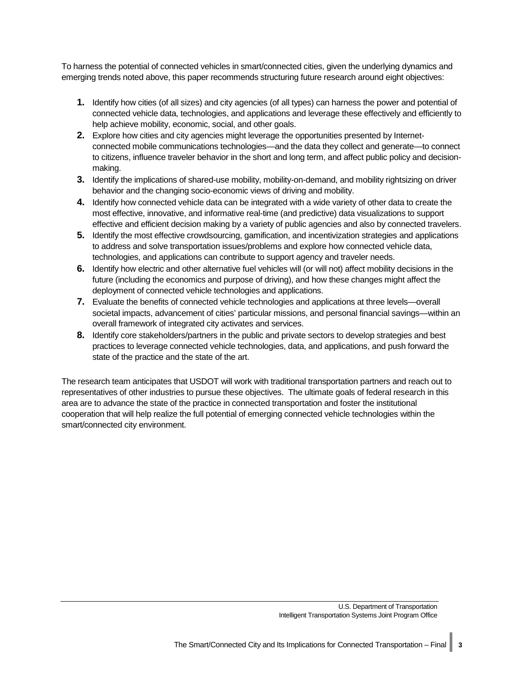To harness the potential of connected vehicles in smart/connected cities, given the underlying dynamics and emerging trends noted above, this paper recommends structuring future research around eight objectives:

- **1.** Identify how cities (of all sizes) and city agencies (of all types) can harness the power and potential of connected vehicle data, technologies, and applications and leverage these effectively and efficiently to help achieve mobility, economic, social, and other goals.
- **2.** Explore how cities and city agencies might leverage the opportunities presented by Internetconnected mobile communications technologies—and the data they collect and generate—to connect to citizens, influence traveler behavior in the short and long term, and affect public policy and decisionmaking.
- **3.** Identify the implications of shared-use mobility, mobility-on-demand, and mobility rightsizing on driver behavior and the changing socio-economic views of driving and mobility.
- **4.** Identify how connected vehicle data can be integrated with a wide variety of other data to create the most effective, innovative, and informative real-time (and predictive) data visualizations to support effective and efficient decision making by a variety of public agencies and also by connected travelers.
- **5.** Identify the most effective crowdsourcing, gamification, and incentivization strategies and applications to address and solve transportation issues/problems and explore how connected vehicle data, technologies, and applications can contribute to support agency and traveler needs.
- **6.** Identify how electric and other alternative fuel vehicles will (or will not) affect mobility decisions in the future (including the economics and purpose of driving), and how these changes might affect the deployment of connected vehicle technologies and applications.
- **7.** Evaluate the benefits of connected vehicle technologies and applications at three levels—overall societal impacts, advancement of cities' particular missions, and personal financial savings—within an overall framework of integrated city activates and services.
- **8.** Identify core stakeholders/partners in the public and private sectors to develop strategies and best practices to leverage connected vehicle technologies, data, and applications, and push forward the state of the practice and the state of the art.

The research team anticipates that USDOT will work with traditional transportation partners and reach out to representatives of other industries to pursue these objectives. The ultimate goals of federal research in this area are to advance the state of the practice in connected transportation and foster the institutional cooperation that will help realize the full potential of emerging connected vehicle technologies within the smart/connected city environment.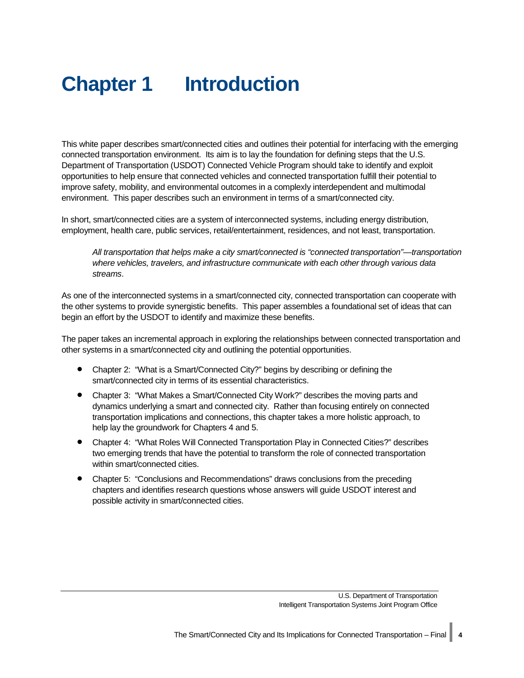# <span id="page-9-0"></span>**Chapter 1 Introduction**

This white paper describes smart/connected cities and outlines their potential for interfacing with the emerging connected transportation environment. Its aim is to lay the foundation for defining steps that the U.S. Department of Transportation (USDOT) Connected Vehicle Program should take to identify and exploit opportunities to help ensure that connected vehicles and connected transportation fulfill their potential to improve safety, mobility, and environmental outcomes in a complexly interdependent and multimodal environment. This paper describes such an environment in terms of a smart/connected city.

In short, smart/connected cities are a system of interconnected systems, including energy distribution, employment, health care, public services, retail/entertainment, residences, and not least, transportation.

*All transportation that helps make a city smart/connected is "connected transportation"—transportation where vehicles, travelers, and infrastructure communicate with each other through various data streams*.

As one of the interconnected systems in a smart/connected city, connected transportation can cooperate with the other systems to provide synergistic benefits. This paper assembles a foundational set of ideas that can begin an effort by the USDOT to identify and maximize these benefits.

The paper takes an incremental approach in exploring the relationships between connected transportation and other systems in a smart/connected city and outlining the potential opportunities.

- Chapter 2: "What is a Smart/Connected City?" begins by describing or defining the smart/connected city in terms of its essential characteristics.
- Chapter 3: "What Makes a Smart/Connected City Work?" describes the moving parts and dynamics underlying a smart and connected city. Rather than focusing entirely on connected transportation implications and connections, this chapter takes a more holistic approach, to help lay the groundwork for Chapters 4 and 5.
- Chapter 4: "What Roles Will Connected Transportation Play in Connected Cities?" describes two emerging trends that have the potential to transform the role of connected transportation within smart/connected cities.
- Chapter 5: "Conclusions and Recommendations" draws conclusions from the preceding chapters and identifies research questions whose answers will guide USDOT interest and possible activity in smart/connected cities.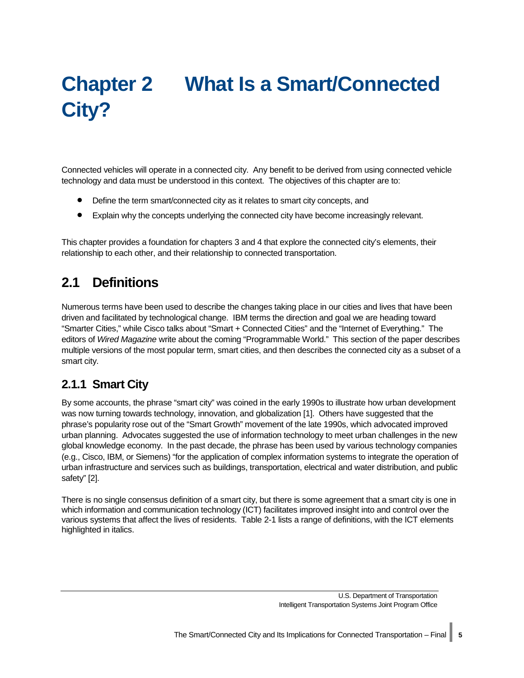# <span id="page-10-0"></span>**Chapter 2 What Is a Smart/Connected City?**

Connected vehicles will operate in a connected city. Any benefit to be derived from using connected vehicle technology and data must be understood in this context. The objectives of this chapter are to:

- Define the term smart/connected city as it relates to smart city concepts, and
- Explain why the concepts underlying the connected city have become increasingly relevant.

This chapter provides a foundation for chapters 3 and 4 that explore the connected city's elements, their relationship to each other, and their relationship to connected transportation.

## <span id="page-10-1"></span>**2.1 Definitions**

Numerous terms have been used to describe the changes taking place in our cities and lives that have been driven and facilitated by technological change. IBM terms the direction and goal we are heading toward "Smarter Cities," while Cisco talks about "Smart + Connected Cities" and the "Internet of Everything." The editors of *Wired Magazine* write about the coming "Programmable World." This section of the paper describes multiple versions of the most popular term, smart cities, and then describes the connected city as a subset of a smart city.

## <span id="page-10-2"></span>**2.1.1 Smart City**

By some accounts, the phrase "smart city" was coined in the early 1990s to illustrate how urban development was now turning towards technology, innovation, and globalization [1]. Others have suggested that the phrase's popularity rose out of the "Smart Growth" movement of the late 1990s, which advocated improved urban planning. Advocates suggested the use of information technology to meet urban challenges in the new global knowledge economy. In the past decade, the phrase has been used by various technology companies (e.g., Cisco, IBM, or Siemens) "for the application of complex information systems to integrate the operation of urban infrastructure and services such as buildings, transportation, electrical and water distribution, and public safety" [2].

There is no single consensus definition of a smart city, but there is some agreement that a smart city is one in which information and communication technology (ICT) facilitates improved insight into and control over the various systems that affect the lives of residents. [Table 2-1](#page-11-0) lists a range of definitions, with the ICT elements highlighted in italics.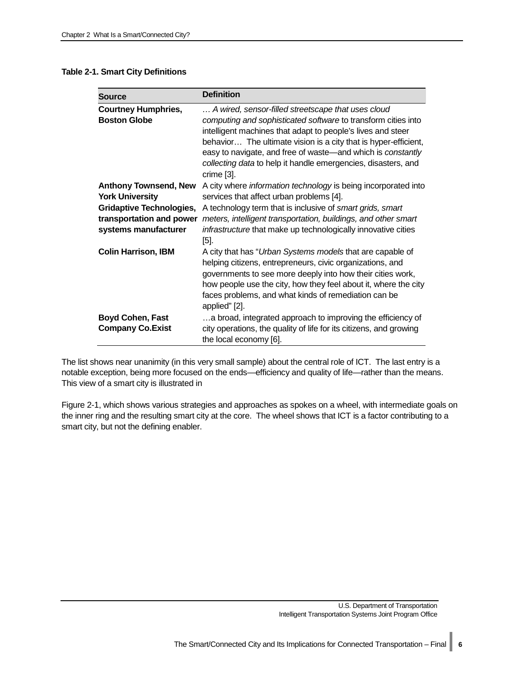#### <span id="page-11-0"></span>**Table 2-1. Smart City Definitions**

| <b>Source</b>                                                                       | <b>Definition</b>                                                                                                                                                                                                                                                                                                                                                                                   |
|-------------------------------------------------------------------------------------|-----------------------------------------------------------------------------------------------------------------------------------------------------------------------------------------------------------------------------------------------------------------------------------------------------------------------------------------------------------------------------------------------------|
| <b>Courtney Humphries,</b><br><b>Boston Globe</b>                                   | A wired, sensor-filled streetscape that uses cloud<br>computing and sophisticated software to transform cities into<br>intelligent machines that adapt to people's lives and steer<br>behavior The ultimate vision is a city that is hyper-efficient,<br>easy to navigate, and free of waste-and which is constantly<br>collecting data to help it handle emergencies, disasters, and<br>crime [3]. |
| <b>Anthony Townsend, New</b><br><b>York University</b>                              | A city where information technology is being incorporated into<br>services that affect urban problems [4].                                                                                                                                                                                                                                                                                          |
| <b>Gridaptive Technologies,</b><br>transportation and power<br>systems manufacturer | A technology term that is inclusive of smart grids, smart<br>meters, intelligent transportation, buildings, and other smart<br>infrastructure that make up technologically innovative cities<br>$[5]$ .                                                                                                                                                                                             |
| <b>Colin Harrison, IBM</b>                                                          | A city that has "Urban Systems models that are capable of<br>helping citizens, entrepreneurs, civic organizations, and<br>governments to see more deeply into how their cities work,<br>how people use the city, how they feel about it, where the city<br>faces problems, and what kinds of remediation can be<br>applied" [2].                                                                    |
| <b>Boyd Cohen, Fast</b><br><b>Company Co.Exist</b>                                  | a broad, integrated approach to improving the efficiency of<br>city operations, the quality of life for its citizens, and growing<br>the local economy [6].                                                                                                                                                                                                                                         |

The list shows near unanimity (in this very small sample) about the central role of ICT. The last entry is a notable exception, being more focused on the ends—efficiency and quality of life—rather than the means. This view of a smart city is illustrated in

[Figure 2-1,](#page-12-2) which shows various strategies and approaches as spokes on a wheel, with intermediate goals on the inner ring and the resulting smart city at the core. The wheel shows that ICT is a factor contributing to a smart city, but not the defining enabler.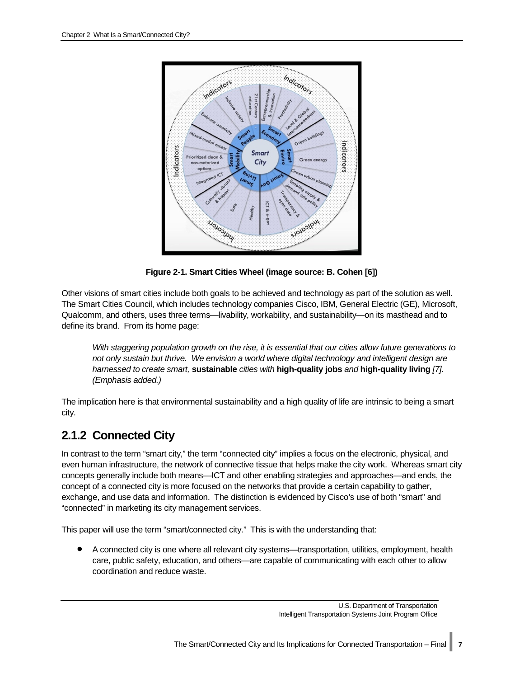<span id="page-12-2"></span>

**Figure 2-1. Smart Cities Wheel (image source: B. Cohen [6])**

<span id="page-12-1"></span>Other visions of smart cities include both goals to be achieved and technology as part of the solution as well. The Smart Cities Council, which includes technology companies Cisco, IBM, General Electric (GE), Microsoft, Qualcomm, and others, uses three terms—livability, workability, and sustainability—on its masthead and to define its brand. From its home page:

*With staggering population growth on the rise, it is essential that our cities allow future generations to not only sustain but thrive. We envision a world where digital technology and intelligent design are harnessed to create smart,* **sustainable** *cities with* **high-quality jobs** *and* **high-quality living** *[7]. (Emphasis added.)*

The implication here is that environmental sustainability and a high quality of life are intrinsic to being a smart city.

## <span id="page-12-0"></span>**2.1.2 Connected City**

In contrast to the term "smart city," the term "connected city" implies a focus on the electronic, physical, and even human infrastructure, the network of connective tissue that helps make the city work. Whereas smart city concepts generally include both means—ICT and other enabling strategies and approaches—and ends, the concept of a connected city is more focused on the networks that provide a certain capability to gather, exchange, and use data and information. The distinction is evidenced by Cisco's use of both "smart" and "connected" in marketing its city management services.

This paper will use the term "smart/connected city." This is with the understanding that:

• A connected city is one where all relevant city systems—transportation, utilities, employment, health care, public safety, education, and others—are capable of communicating with each other to allow coordination and reduce waste.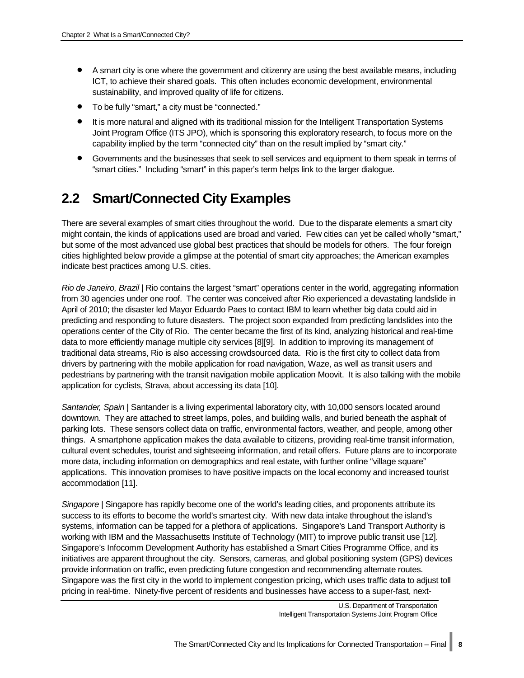- A smart city is one where the government and citizenry are using the best available means, including ICT, to achieve their shared goals. This often includes economic development, environmental sustainability, and improved quality of life for citizens.
- To be fully "smart," a city must be "connected."
- It is more natural and aligned with its traditional mission for the Intelligent Transportation Systems Joint Program Office (ITS JPO), which is sponsoring this exploratory research, to focus more on the capability implied by the term "connected city" than on the result implied by "smart city."
- Governments and the businesses that seek to sell services and equipment to them speak in terms of "smart cities." Including "smart" in this paper's term helps link to the larger dialogue.

## <span id="page-13-0"></span>**2.2 Smart/Connected City Examples**

There are several examples of smart cities throughout the world. Due to the disparate elements a smart city might contain, the kinds of applications used are broad and varied. Few cities can yet be called wholly "smart," but some of the most advanced use global best practices that should be models for others. The four foreign cities highlighted below provide a glimpse at the potential of smart city approaches; the American examples indicate best practices among U.S. cities.

*Rio de Janeiro, Brazil* | Rio contains the largest "smart" operations center in the world, aggregating information from 30 agencies under one roof. The center was conceived after Rio experienced a devastating landslide in April of 2010; the disaster led Mayor Eduardo Paes to contact IBM to learn whether big data could aid in predicting and responding to future disasters. The project soon expanded from predicting landslides into the operations center of the City of Rio. The center became the first of its kind, analyzing historical and real-time data to more efficiently manage multiple city services [8][9]. In addition to improving its management of traditional data streams, Rio is also accessing crowdsourced data. Rio is the first city to collect data from drivers by partnering with the mobile application for road navigation, Waze, as well as transit users and pedestrians by partnering with the transit navigation mobile application Moovit. It is also talking with the mobile application for cyclists, Strava, about accessing its data [10].

*Santander, Spain* | Santander is a living experimental laboratory city, with 10,000 sensors located around downtown. They are attached to street lamps, poles, and building walls, and buried beneath the asphalt of parking lots. These sensors collect data on traffic, environmental factors, weather, and people, among other things. A smartphone application makes the data available to citizens, providing real-time transit information, cultural event schedules, tourist and sightseeing information, and retail offers. Future plans are to incorporate more data, including information on demographics and real estate, with further online "village square" applications. This innovation promises to have positive impacts on the local economy and increased tourist accommodation [11].

*Singapore* | Singapore has rapidly become one of the world's leading cities, and proponents attribute its success to its efforts to become the world's smartest city. With new data intake throughout the island's systems, information can be tapped for a plethora of applications. Singapore's Land Transport Authority is working with IBM and the Massachusetts Institute of Technology (MIT) to improve public transit use [12]. Singapore's Infocomm Development Authority has established a Smart Cities Programme Office, and its initiatives are apparent throughout the city. Sensors, cameras, and global positioning system (GPS) devices provide information on traffic, even predicting future congestion and recommending alternate routes. Singapore was the first city in the world to implement congestion pricing, which uses traffic data to adjust toll pricing in real-time. Ninety-five percent of residents and businesses have access to a super-fast, next-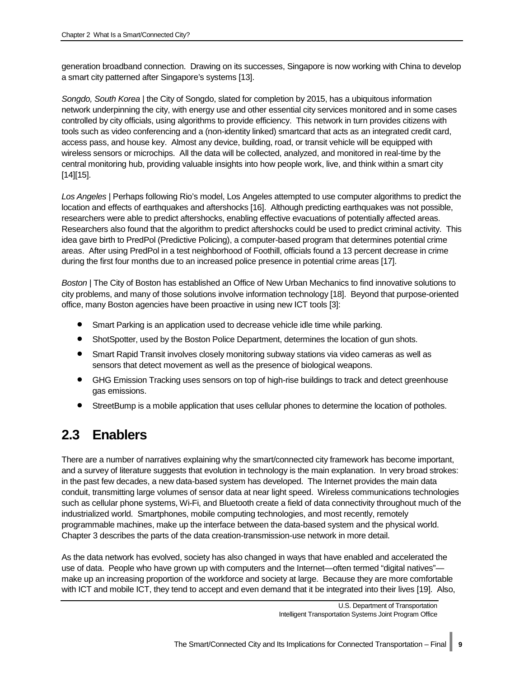generation broadband connection. Drawing on its successes, Singapore is now working with China to develop a smart city patterned after Singapore's systems [13].

*Songdo, South Korea* | the City of Songdo, slated for completion by 2015, has a ubiquitous information network underpinning the city, with energy use and other essential city services monitored and in some cases controlled by city officials, using algorithms to provide efficiency. This network in turn provides citizens with tools such as video conferencing and a (non-identity linked) smartcard that acts as an integrated credit card, access pass, and house key. Almost any device, building, road, or transit vehicle will be equipped with wireless sensors or microchips. All the data will be collected, analyzed, and monitored in real-time by the central monitoring hub, providing valuable insights into how people work, live, and think within a smart city [14][15].

*Los Angeles* | Perhaps following Rio's model, Los Angeles attempted to use computer algorithms to predict the location and effects of earthquakes and aftershocks [16]. Although predicting earthquakes was not possible, researchers were able to predict aftershocks, enabling effective evacuations of potentially affected areas. Researchers also found that the algorithm to predict aftershocks could be used to predict criminal activity. This idea gave birth to PredPol (Predictive Policing), a computer-based program that determines potential crime areas. After using PredPol in a test neighborhood of Foothill, officials found a 13 percent decrease in crime during the first four months due to an increased police presence in potential crime areas [17].

*Boston* | The City of Boston has established an Office of New Urban Mechanics to find innovative solutions to city problems, and many of those solutions involve information technology [18]. Beyond that purpose-oriented office, many Boston agencies have been proactive in using new ICT tools [3]:

- Smart Parking is an application used to decrease vehicle idle time while parking.
- ShotSpotter, used by the Boston Police Department, determines the location of gun shots.
- Smart Rapid Transit involves closely monitoring subway stations via video cameras as well as sensors that detect movement as well as the presence of biological weapons.
- GHG Emission Tracking uses sensors on top of high-rise buildings to track and detect greenhouse gas emissions.
- StreetBump is a mobile application that uses cellular phones to determine the location of potholes.

## <span id="page-14-0"></span>**2.3 Enablers**

There are a number of narratives explaining why the smart/connected city framework has become important, and a survey of literature suggests that evolution in technology is the main explanation. In very broad strokes: in the past few decades, a new data-based system has developed. The Internet provides the main data conduit, transmitting large volumes of sensor data at near light speed. Wireless communications technologies such as cellular phone systems, Wi-Fi, and Bluetooth create a field of data connectivity throughout much of the industrialized world. Smartphones, mobile computing technologies, and most recently, remotely programmable machines, make up the interface between the data-based system and the physical world. Chapter 3 describes the parts of the data creation-transmission-use network in more detail.

As the data network has evolved, society has also changed in ways that have enabled and accelerated the use of data. People who have grown up with computers and the Internet—often termed "digital natives" make up an increasing proportion of the workforce and society at large. Because they are more comfortable with ICT and mobile ICT, they tend to accept and even demand that it be integrated into their lives [19]. Also,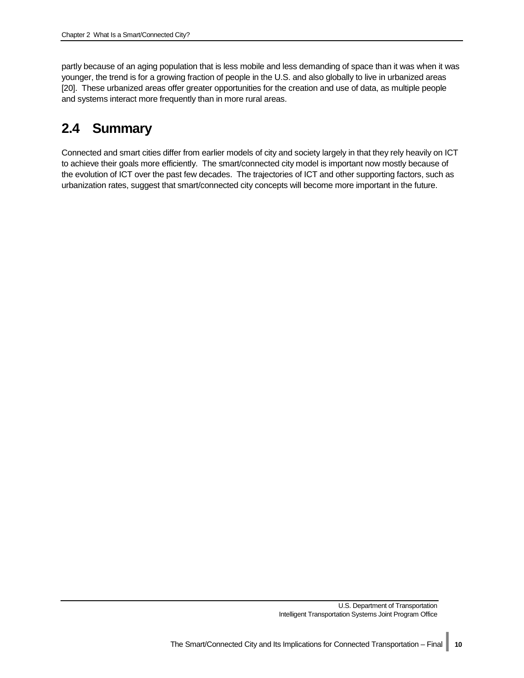partly because of an aging population that is less mobile and less demanding of space than it was when it was younger, the trend is for a growing fraction of people in the U.S. and also globally to live in urbanized areas [20]. These urbanized areas offer greater opportunities for the creation and use of data, as multiple people and systems interact more frequently than in more rural areas.

## <span id="page-15-0"></span>**2.4 Summary**

Connected and smart cities differ from earlier models of city and society largely in that they rely heavily on ICT to achieve their goals more efficiently. The smart/connected city model is important now mostly because of the evolution of ICT over the past few decades. The trajectories of ICT and other supporting factors, such as urbanization rates, suggest that smart/connected city concepts will become more important in the future.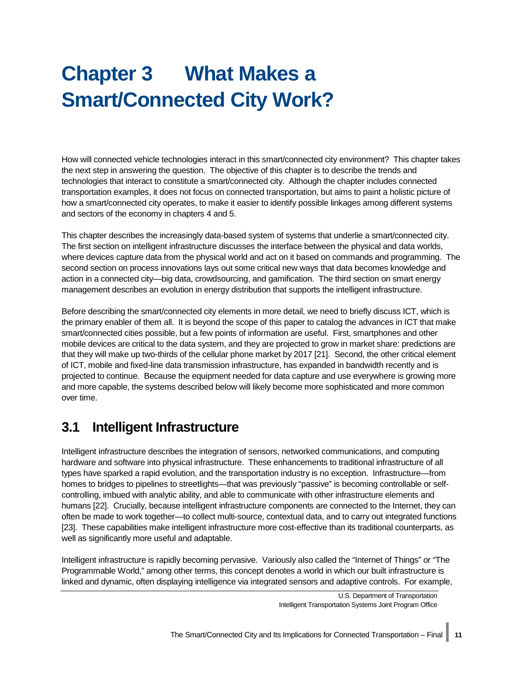# <span id="page-16-0"></span>**Chapter 3 What Makes a Smart/Connected City Work?**

How will connected vehicle technologies interact in this smart/connected city environment? This chapter takes the next step in answering the question. The objective of this chapter is to describe the trends and technologies that interact to constitute a smart/connected city. Although the chapter includes connected transportation examples, it does not focus on connected transportation, but aims to paint a holistic picture of how a smart/connected city operates, to make it easier to identify possible linkages among different systems and sectors of the economy in chapters 4 and 5.

This chapter describes the increasingly data-based system of systems that underlie a smart/connected city. The first section on intelligent infrastructure discusses the interface between the physical and data worlds, where devices capture data from the physical world and act on it based on commands and programming. The second section on process innovations lays out some critical new ways that data becomes knowledge and action in a connected city—big data, crowdsourcing, and gamification. The third section on smart energy management describes an evolution in energy distribution that supports the intelligent infrastructure.

Before describing the smart/connected city elements in more detail, we need to briefly discuss ICT, which is the primary enabler of them all. It is beyond the scope of this paper to catalog the advances in ICT that make smart/connected cities possible, but a few points of information are useful. First, smartphones and other mobile devices are critical to the data system, and they are projected to grow in market share: predictions are that they will make up two-thirds of the cellular phone market by 2017 [21]. Second, the other critical element of ICT, mobile and fixed-line data transmission infrastructure, has expanded in bandwidth recently and is projected to continue. Because the equipment needed for data capture and use everywhere is growing more and more capable, the systems described below will likely become more sophisticated and more common over time.

## <span id="page-16-1"></span>**3.1 Intelligent Infrastructure**

Intelligent infrastructure describes the integration of sensors, networked communications, and computing hardware and software into physical infrastructure. These enhancements to traditional infrastructure of all types have sparked a rapid evolution, and the transportation industry is no exception. Infrastructure—from homes to bridges to pipelines to streetlights—that was previously "passive" is becoming controllable or selfcontrolling, imbued with analytic ability, and able to communicate with other infrastructure elements and humans [22]. Crucially, because intelligent infrastructure components are connected to the Internet, they can often be made to work together—to collect multi-source, contextual data, and to carry out integrated functions [23]. These capabilities make intelligent infrastructure more cost-effective than its traditional counterparts, as well as significantly more useful and adaptable.

Intelligent infrastructure is rapidly becoming pervasive. Variously also called the "Internet of Things" or "The Programmable World," among other terms, this concept denotes a world in which our built infrastructure is linked and dynamic, often displaying intelligence via integrated sensors and adaptive controls. For example,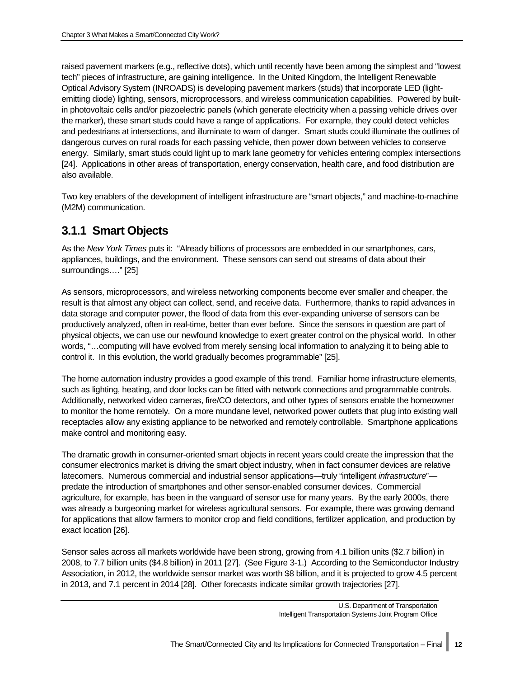raised pavement markers (e.g., reflective dots), which until recently have been among the simplest and "lowest tech" pieces of infrastructure, are gaining intelligence. In the United Kingdom, the Intelligent Renewable Optical Advisory System (INROADS) is developing pavement markers (studs) that incorporate LED (lightemitting diode) lighting, sensors, microprocessors, and wireless communication capabilities. Powered by builtin photovoltaic cells and/or piezoelectric panels (which generate electricity when a passing vehicle drives over the marker), these smart studs could have a range of applications. For example, they could detect vehicles and pedestrians at intersections, and illuminate to warn of danger. Smart studs could illuminate the outlines of dangerous curves on rural roads for each passing vehicle, then power down between vehicles to conserve energy. Similarly, smart studs could light up to mark lane geometry for vehicles entering complex intersections [24]. Applications in other areas of transportation, energy conservation, health care, and food distribution are also available.

Two key enablers of the development of intelligent infrastructure are "smart objects," and machine-to-machine (M2M) communication.

## <span id="page-17-0"></span>**3.1.1 Smart Objects**

As the *New York Times* puts it: "Already billions of processors are embedded in our smartphones, cars, appliances, buildings, and the environment. These sensors can send out streams of data about their surroundings…." [25]

As sensors, microprocessors, and wireless networking components become ever smaller and cheaper, the result is that almost any object can collect, send, and receive data. Furthermore, thanks to rapid advances in data storage and computer power, the flood of data from this ever-expanding universe of sensors can be productively analyzed, often in real-time, better than ever before. Since the sensors in question are part of physical objects, we can use our newfound knowledge to exert greater control on the physical world. In other words, "…computing will have evolved from merely sensing local information to analyzing it to being able to control it. In this evolution, the world gradually becomes programmable" [25].

The home automation industry provides a good example of this trend. Familiar home infrastructure elements, such as lighting, heating, and door locks can be fitted with network connections and programmable controls. Additionally, networked video cameras, fire/CO detectors, and other types of sensors enable the homeowner to monitor the home remotely. On a more mundane level, networked power outlets that plug into existing wall receptacles allow any existing appliance to be networked and remotely controllable. Smartphone applications make control and monitoring easy.

The dramatic growth in consumer-oriented smart objects in recent years could create the impression that the consumer electronics market is driving the smart object industry, when in fact consumer devices are relative latecomers. Numerous commercial and industrial sensor applications—truly "intelligent *infrastructure*" predate the introduction of smartphones and other sensor-enabled consumer devices. Commercial agriculture, for example, has been in the vanguard of sensor use for many years. By the early 2000s, there was already a burgeoning market for wireless agricultural sensors. For example, there was growing demand for applications that allow farmers to monitor crop and field conditions, fertilizer application, and production by exact location [26].

Sensor sales across all markets worldwide have been strong, growing from 4.1 billion units (\$2.7 billion) in 2008, to 7.7 billion units (\$4.8 billion) in 2011 [27]. (See [Figure 3-1.](#page-18-2)) According to the Semiconductor Industry Association, in 2012, the worldwide sensor market was worth \$8 billion, and it is projected to grow 4.5 percent in 2013, and 7.1 percent in 2014 [28]. Other forecasts indicate similar growth trajectories [27].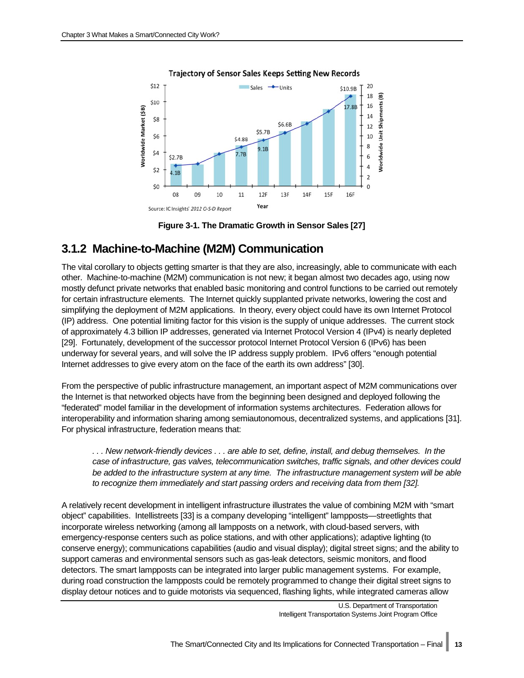

#### <span id="page-18-2"></span>**Trajectory of Sensor Sales Keeps Setting New Records**



### <span id="page-18-1"></span><span id="page-18-0"></span>**3.1.2 Machine-to-Machine (M2M) Communication**

The vital corollary to objects getting smarter is that they are also, increasingly, able to communicate with each other. Machine-to-machine (M2M) communication is not new; it began almost two decades ago, using now mostly defunct private networks that enabled basic monitoring and control functions to be carried out remotely for certain infrastructure elements. The Internet quickly supplanted private networks, lowering the cost and simplifying the deployment of M2M applications. In theory, every object could have its own Internet Protocol (IP) address. One potential limiting factor for this vision is the supply of unique addresses. The current stock of approximately 4.3 billion IP addresses, generated via Internet Protocol Version 4 (IPv4) is nearly depleted [29]. Fortunately, development of the successor protocol Internet Protocol Version 6 (IPv6) has been underway for several years, and will solve the IP address supply problem. IPv6 offers "enough potential Internet addresses to give every atom on the face of the earth its own address" [30].

From the perspective of public infrastructure management, an important aspect of M2M communications over the Internet is that networked objects have from the beginning been designed and deployed following the "federated" model familiar in the development of information systems architectures. Federation allows for interoperability and information sharing among semiautonomous, decentralized systems, and applications [31]. For physical infrastructure, federation means that:

*. . . New network-friendly devices . . . are able to set, define, install, and debug themselves. In the case of infrastructure, gas valves, telecommunication switches, traffic signals, and other devices could be added to the infrastructure system at any time. The infrastructure management system will be able to recognize them immediately and start passing orders and receiving data from them [32].*

A relatively recent development in intelligent infrastructure illustrates the value of combining M2M with "smart object" capabilities. Intellistreets [33] is a company developing "intelligent" lampposts—streetlights that incorporate wireless networking (among all lampposts on a network, with cloud-based servers, with emergency-response centers such as police stations, and with other applications); adaptive lighting (to conserve energy); communications capabilities (audio and visual display); digital street signs; and the ability to support cameras and environmental sensors such as gas-leak detectors, seismic monitors, and flood detectors. The smart lampposts can be integrated into larger public management systems. For example, during road construction the lampposts could be remotely programmed to change their digital street signs to display detour notices and to guide motorists via sequenced, flashing lights, while integrated cameras allow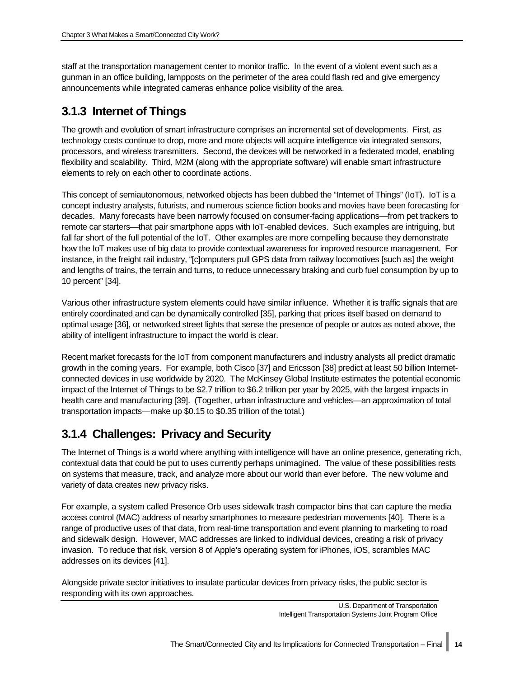staff at the transportation management center to monitor traffic. In the event of a violent event such as a gunman in an office building, lampposts on the perimeter of the area could flash red and give emergency announcements while integrated cameras enhance police visibility of the area.

## <span id="page-19-0"></span>**3.1.3 Internet of Things**

The growth and evolution of smart infrastructure comprises an incremental set of developments. First, as technology costs continue to drop, more and more objects will acquire intelligence via integrated sensors, processors, and wireless transmitters. Second, the devices will be networked in a federated model, enabling flexibility and scalability. Third, M2M (along with the appropriate software) will enable smart infrastructure elements to rely on each other to coordinate actions.

This concept of semiautonomous, networked objects has been dubbed the "Internet of Things" (IoT). IoT is a concept industry analysts, futurists, and numerous science fiction books and movies have been forecasting for decades. Many forecasts have been narrowly focused on consumer-facing applications—from pet trackers to remote car starters—that pair smartphone apps with IoT-enabled devices. Such examples are intriguing, but fall far short of the full potential of the IoT. Other examples are more compelling because they demonstrate how the IoT makes use of big data to provide contextual awareness for improved resource management. For instance, in the freight rail industry, "[c]omputers pull GPS data from railway locomotives [such as] the weight and lengths of trains, the terrain and turns, to reduce unnecessary braking and curb fuel consumption by up to 10 percent" [34].

Various other infrastructure system elements could have similar influence. Whether it is traffic signals that are entirely coordinated and can be dynamically controlled [35], parking that prices itself based on demand to optimal usage [36], or networked street lights that sense the presence of people or autos as noted above, the ability of intelligent infrastructure to impact the world is clear.

Recent market forecasts for the IoT from component manufacturers and industry analysts all predict dramatic growth in the coming years. For example, both Cisco [37] and Ericsson [38] predict at least 50 billion Internetconnected devices in use worldwide by 2020. The McKinsey Global Institute estimates the potential economic impact of the Internet of Things to be \$2.7 trillion to \$6.2 trillion per year by 2025, with the largest impacts in health care and manufacturing [39]. (Together, urban infrastructure and vehicles—an approximation of total transportation impacts—make up \$0.15 to \$0.35 trillion of the total.)

## <span id="page-19-1"></span>**3.1.4 Challenges: Privacy and Security**

The Internet of Things is a world where anything with intelligence will have an online presence, generating rich, contextual data that could be put to uses currently perhaps unimagined. The value of these possibilities rests on systems that measure, track, and analyze more about our world than ever before. The new volume and variety of data creates new privacy risks.

For example, a system called Presence Orb uses sidewalk trash compactor bins that can capture the media access control (MAC) address of nearby smartphones to measure pedestrian movements [40]. There is a range of productive uses of that data, from real-time transportation and event planning to marketing to road and sidewalk design. However, MAC addresses are linked to individual devices, creating a risk of privacy invasion. To reduce that risk, version 8 of Apple's operating system for iPhones, iOS, scrambles MAC addresses on its devices [41].

Alongside private sector initiatives to insulate particular devices from privacy risks, the public sector is responding with its own approaches.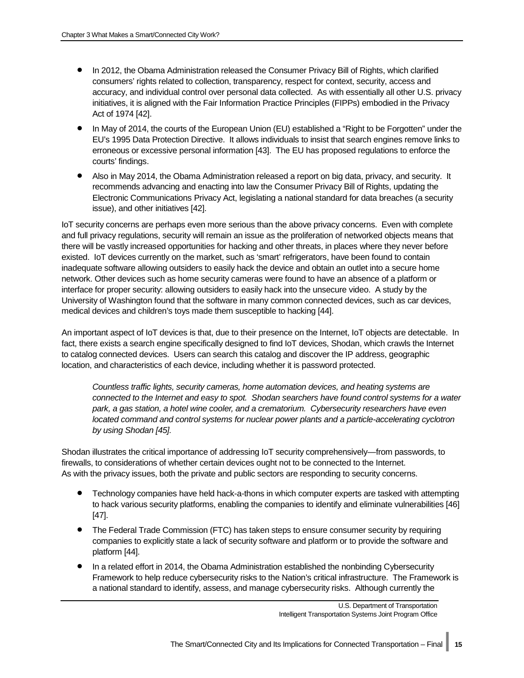- In 2012, the Obama Administration released the Consumer Privacy Bill of Rights, which clarified consumers' rights related to collection, transparency, respect for context, security, access and accuracy, and individual control over personal data collected. As with essentially all other U.S. privacy initiatives, it is aligned with the Fair Information Practice Principles (FIPPs) embodied in the Privacy Act of 1974 [42].
- In May of 2014, the courts of the European Union (EU) established a "Right to be Forgotten" under the EU's 1995 Data Protection Directive. It allows individuals to insist that search engines remove links to erroneous or excessive personal information [43]. The EU has proposed regulations to enforce the courts' findings.
- Also in May 2014, the Obama Administration released a report on big data, privacy, and security. It recommends advancing and enacting into law the Consumer Privacy Bill of Rights, updating the Electronic Communications Privacy Act, legislating a national standard for data breaches (a security issue), and other initiatives [42].

IoT security concerns are perhaps even more serious than the above privacy concerns. Even with complete and full privacy regulations, security will remain an issue as the proliferation of networked objects means that there will be vastly increased opportunities for hacking and other threats, in places where they never before existed. IoT devices currently on the market, such as 'smart' refrigerators, have been found to contain inadequate software allowing outsiders to easily hack the device and obtain an outlet into a secure home network. Other devices such as home security cameras were found to have an absence of a platform or interface for proper security: allowing outsiders to easily hack into the unsecure video. A study by the University of Washington found that the software in many common connected devices, such as car devices, medical devices and children's toys made them susceptible to hacking [44].

An important aspect of IoT devices is that, due to their presence on the Internet, IoT objects are detectable. In fact, there exists a search engine specifically designed to find IoT devices, Shodan, which crawls the Internet to catalog connected devices. Users can search this catalog and discover the IP address, geographic location, and characteristics of each device, including whether it is password protected.

*Countless traffic lights, security cameras, home automation devices, and heating systems are connected to the Internet and easy to spot. Shodan searchers have found control systems for a water park, a gas station, a hotel wine cooler, and a crematorium. Cybersecurity researchers have even located command and control systems for nuclear power plants and a particle-accelerating cyclotron by using Shodan [45].*

Shodan illustrates the critical importance of addressing IoT security comprehensively—from passwords, to firewalls, to considerations of whether certain devices ought not to be connected to the Internet. As with the privacy issues, both the private and public sectors are responding to security concerns.

- Technology companies have held hack-a-thons in which computer experts are tasked with attempting to hack various security platforms, enabling the companies to identify and eliminate vulnerabilities [46] [47].
- The Federal Trade Commission (FTC) has taken steps to ensure consumer security by requiring companies to explicitly state a lack of security software and platform or to provide the software and platform [44].
- In a related effort in 2014, the Obama Administration established the nonbinding Cybersecurity Framework to help reduce cybersecurity risks to the Nation's critical infrastructure. The Framework is a national standard to identify, assess, and manage cybersecurity risks. Although currently the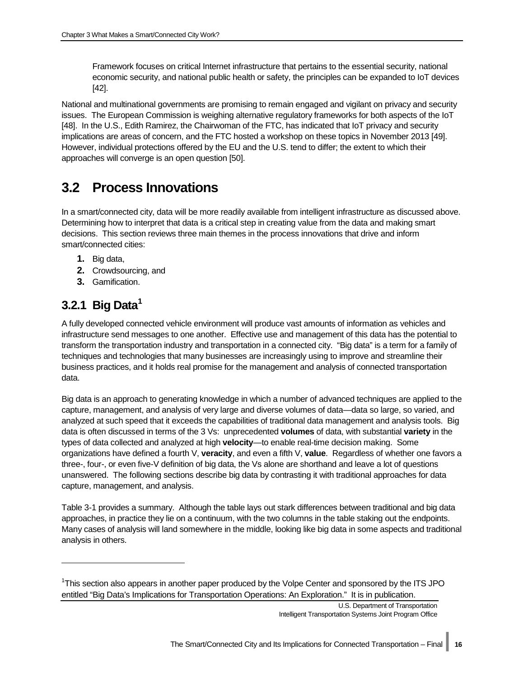Framework focuses on critical Internet infrastructure that pertains to the essential security, national economic security, and national public health or safety, the principles can be expanded to IoT devices [42].

National and multinational governments are promising to remain engaged and vigilant on privacy and security issues. The European Commission is weighing alternative regulatory frameworks for both aspects of the IoT [48]. In the U.S., Edith Ramirez, the Chairwoman of the FTC, has indicated that IoT privacy and security implications are areas of concern, and the FTC hosted a workshop on these topics in November 2013 [49]. However, individual protections offered by the EU and the U.S. tend to differ; the extent to which their approaches will converge is an open question [50].

## <span id="page-21-0"></span>**3.2 Process Innovations**

In a smart/connected city, data will be more readily available from intelligent infrastructure as discussed above. Determining how to interpret that data is a critical step in creating value from the data and making smart decisions. This section reviews three main themes in the process innovations that drive and inform smart/connected cities:

- **1.** Big data,
- **2.** Crowdsourcing, and
- **3.** Gamification.

## <span id="page-21-1"></span>**3.2.1 Big Dat[a1](#page-21-2)**

j

A fully developed connected vehicle environment will produce vast amounts of information as vehicles and infrastructure send messages to one another. Effective use and management of this data has the potential to transform the transportation industry and transportation in a connected city. "Big data" is a term for a family of techniques and technologies that many businesses are increasingly using to improve and streamline their business practices, and it holds real promise for the management and analysis of connected transportation data.

Big data is an approach to generating knowledge in which a number of advanced techniques are applied to the capture, management, and analysis of very large and diverse volumes of data—data so large, so varied, and analyzed at such speed that it exceeds the capabilities of traditional data management and analysis tools. Big data is often discussed in terms of the 3 Vs: unprecedented **volumes** of data, with substantial **variety** in the types of data collected and analyzed at high **velocity**—to enable real-time decision making. Some organizations have defined a fourth V, **veracity**, and even a fifth V, **value**. Regardless of whether one favors a three-, four-, or even five-V definition of big data, the Vs alone are shorthand and leave a lot of questions unanswered. The following sections describe big data by contrasting it with traditional approaches for data capture, management, and analysis.

[Table 3-1](#page-23-0) provides a summary. Although the table lays out stark differences between traditional and big data approaches, in practice they lie on a continuum, with the two columns in the table staking out the endpoints. Many cases of analysis will land somewhere in the middle, looking like big data in some aspects and traditional analysis in others.

<span id="page-21-2"></span><sup>&</sup>lt;sup>1</sup>This section also appears in another paper produced by the Volpe Center and sponsored by the ITS JPO entitled "Big Data's Implications for Transportation Operations: An Exploration." It is in publication.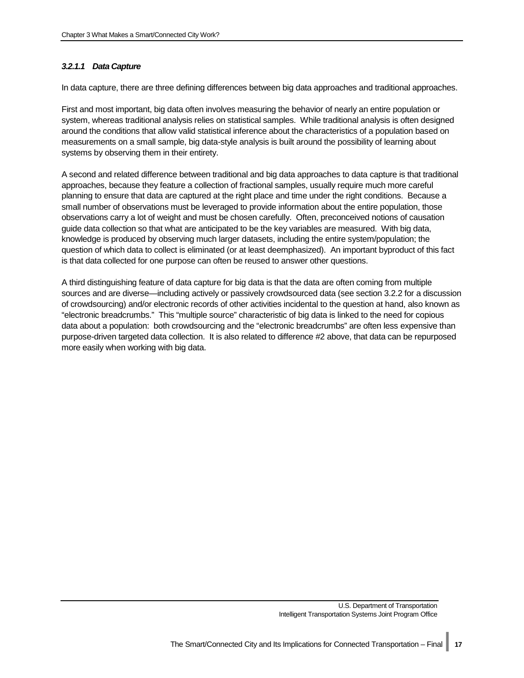#### *3.2.1.1 Data Capture*

In data capture, there are three defining differences between big data approaches and traditional approaches.

First and most important, big data often involves measuring the behavior of nearly an entire population or system, whereas traditional analysis relies on statistical samples. While traditional analysis is often designed around the conditions that allow valid statistical inference about the characteristics of a population based on measurements on a small sample, big data-style analysis is built around the possibility of learning about systems by observing them in their entirety.

A second and related difference between traditional and big data approaches to data capture is that traditional approaches, because they feature a collection of fractional samples, usually require much more careful planning to ensure that data are captured at the right place and time under the right conditions. Because a small number of observations must be leveraged to provide information about the entire population, those observations carry a lot of weight and must be chosen carefully. Often, preconceived notions of causation guide data collection so that what are anticipated to be the key variables are measured. With big data, knowledge is produced by observing much larger datasets, including the entire system/population; the question of which data to collect is eliminated (or at least deemphasized). An important byproduct of this fact is that data collected for one purpose can often be reused to answer other questions.

A third distinguishing feature of data capture for big data is that the data are often coming from multiple sources and are diverse—including actively or passively crowdsourced data (see section [3.2.2 f](#page-24-0)or a discussion of crowdsourcing) and/or electronic records of other activities incidental to the question at hand, also known as "electronic breadcrumbs." This "multiple source" characteristic of big data is linked to the need for copious data about a population: both crowdsourcing and the "electronic breadcrumbs" are often less expensive than purpose-driven targeted data collection. It is also related to difference #2 above, that data can be repurposed more easily when working with big data.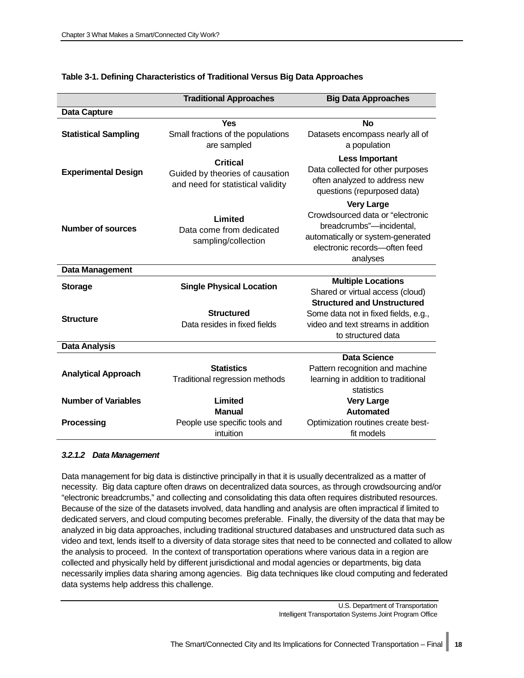|                             | <b>Traditional Approaches</b>                                                           | <b>Big Data Approaches</b>                                                                                                                                          |
|-----------------------------|-----------------------------------------------------------------------------------------|---------------------------------------------------------------------------------------------------------------------------------------------------------------------|
| <b>Data Capture</b>         |                                                                                         |                                                                                                                                                                     |
|                             | Yes                                                                                     | <b>No</b>                                                                                                                                                           |
| <b>Statistical Sampling</b> | Small fractions of the populations<br>are sampled                                       | Datasets encompass nearly all of<br>a population                                                                                                                    |
| <b>Experimental Design</b>  | <b>Critical</b><br>Guided by theories of causation<br>and need for statistical validity | <b>Less Important</b><br>Data collected for other purposes<br>often analyzed to address new<br>questions (repurposed data)                                          |
| <b>Number of sources</b>    | Limited<br>Data come from dedicated<br>sampling/collection                              | <b>Very Large</b><br>Crowdsourced data or "electronic<br>breadcrumbs"-incidental,<br>automatically or system-generated<br>electronic records-often feed<br>analyses |
| Data Management             |                                                                                         |                                                                                                                                                                     |
| <b>Storage</b>              | <b>Single Physical Location</b>                                                         | <b>Multiple Locations</b>                                                                                                                                           |
|                             |                                                                                         | Shared or virtual access (cloud)                                                                                                                                    |
| <b>Structure</b>            | <b>Structured</b><br>Data resides in fixed fields                                       | <b>Structured and Unstructured</b><br>Some data not in fixed fields, e.g.,<br>video and text streams in addition<br>to structured data                              |
| <b>Data Analysis</b>        |                                                                                         |                                                                                                                                                                     |
| <b>Analytical Approach</b>  | <b>Statistics</b><br>Traditional regression methods                                     | Data Science<br>Pattern recognition and machine<br>learning in addition to traditional<br>statistics                                                                |
| <b>Number of Variables</b>  | Limited                                                                                 | <b>Very Large</b>                                                                                                                                                   |
|                             | <b>Manual</b>                                                                           | Automated                                                                                                                                                           |
| Processing                  | People use specific tools and                                                           | Optimization routines create best-                                                                                                                                  |
|                             | intuition                                                                               | fit models                                                                                                                                                          |

#### <span id="page-23-0"></span>**Table 3-1. Defining Characteristics of Traditional Versus Big Data Approaches**

#### *3.2.1.2 Data Management*

Data management for big data is distinctive principally in that it is usually decentralized as a matter of necessity. Big data capture often draws on decentralized data sources, as through crowdsourcing and/or "electronic breadcrumbs," and collecting and consolidating this data often requires distributed resources. Because of the size of the datasets involved, data handling and analysis are often impractical if limited to dedicated servers, and cloud computing becomes preferable. Finally, the diversity of the data that may be analyzed in big data approaches, including traditional structured databases and unstructured data such as video and text, lends itself to a diversity of data storage sites that need to be connected and collated to allow the analysis to proceed. In the context of transportation operations where various data in a region are collected and physically held by different jurisdictional and modal agencies or departments, big data necessarily implies data sharing among agencies. Big data techniques like cloud computing and federated data systems help address this challenge.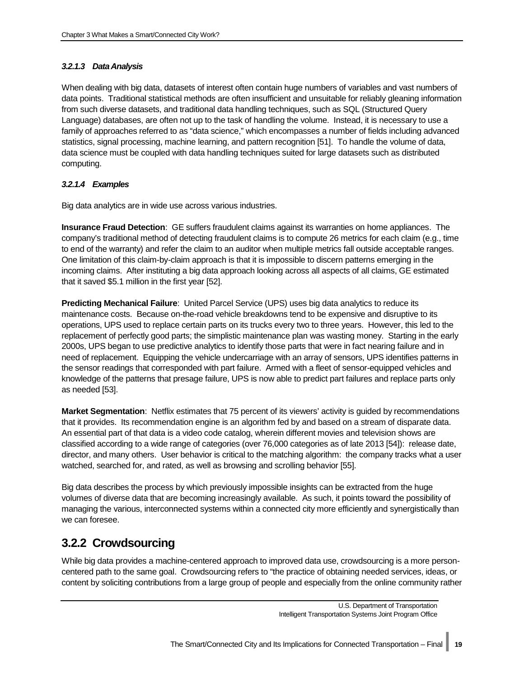#### *3.2.1.3 Data Analysis*

When dealing with big data, datasets of interest often contain huge numbers of variables and vast numbers of data points. Traditional statistical methods are often insufficient and unsuitable for reliably gleaning information from such diverse datasets, and traditional data handling techniques, such as SQL (Structured Query Language) databases, are often not up to the task of handling the volume. Instead, it is necessary to use a family of approaches referred to as "data science," which encompasses a number of fields including advanced statistics, signal processing, machine learning, and pattern recognition [51]. To handle the volume of data, data science must be coupled with data handling techniques suited for large datasets such as distributed computing.

#### *3.2.1.4 Examples*

Big data analytics are in wide use across various industries.

**Insurance Fraud Detection**: GE suffers fraudulent claims against its warranties on home appliances. The company's traditional method of detecting fraudulent claims is to compute 26 metrics for each claim (e.g., time to end of the warranty) and refer the claim to an auditor when multiple metrics fall outside acceptable ranges. One limitation of this claim-by-claim approach is that it is impossible to discern patterns emerging in the incoming claims. After instituting a big data approach looking across all aspects of all claims, GE estimated that it saved \$5.1 million in the first year [52].

**Predicting Mechanical Failure**: United Parcel Service (UPS) uses big data analytics to reduce its maintenance costs. Because on-the-road vehicle breakdowns tend to be expensive and disruptive to its operations, UPS used to replace certain parts on its trucks every two to three years. However, this led to the replacement of perfectly good parts; the simplistic maintenance plan was wasting money. Starting in the early 2000s, UPS began to use predictive analytics to identify those parts that were in fact nearing failure and in need of replacement. Equipping the vehicle undercarriage with an array of sensors, UPS identifies patterns in the sensor readings that corresponded with part failure. Armed with a fleet of sensor-equipped vehicles and knowledge of the patterns that presage failure, UPS is now able to predict part failures and replace parts only as needed [53].

**Market Segmentation**: Netflix estimates that 75 percent of its viewers' activity is guided by recommendations that it provides. Its recommendation engine is an algorithm fed by and based on a stream of disparate data. An essential part of that data is a video code catalog, wherein different movies and television shows are classified according to a wide range of categories (over 76,000 categories as of late 2013 [54]): release date, director, and many others. User behavior is critical to the matching algorithm: the company tracks what a user watched, searched for, and rated, as well as browsing and scrolling behavior [55].

Big data describes the process by which previously impossible insights can be extracted from the huge volumes of diverse data that are becoming increasingly available. As such, it points toward the possibility of managing the various, interconnected systems within a connected city more efficiently and synergistically than we can foresee.

### <span id="page-24-0"></span>**3.2.2 Crowdsourcing**

While big data provides a machine-centered approach to improved data use, crowdsourcing is a more personcentered path to the same goal. Crowdsourcing refers to "the practice of obtaining needed services, ideas, or content by soliciting contributions from a large group of people and especially from the online community rather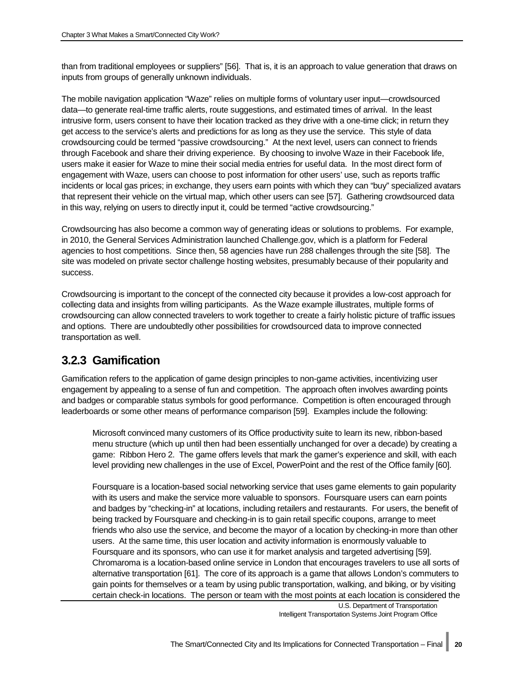than from traditional employees or suppliers" [56]. That is, it is an approach to value generation that draws on inputs from groups of generally unknown individuals.

The mobile navigation application "Waze" relies on multiple forms of voluntary user input—crowdsourced data—to generate real-time traffic alerts, route suggestions, and estimated times of arrival. In the least intrusive form, users consent to have their location tracked as they drive with a one-time click; in return they get access to the service's alerts and predictions for as long as they use the service. This style of data crowdsourcing could be termed "passive crowdsourcing." At the next level, users can connect to friends through Facebook and share their driving experience. By choosing to involve Waze in their Facebook life, users make it easier for Waze to mine their social media entries for useful data. In the most direct form of engagement with Waze, users can choose to post information for other users' use, such as reports traffic incidents or local gas prices; in exchange, they users earn points with which they can "buy" specialized avatars that represent their vehicle on the virtual map, which other users can see [57]. Gathering crowdsourced data in this way, relying on users to directly input it, could be termed "active crowdsourcing."

Crowdsourcing has also become a common way of generating ideas or solutions to problems. For example, in 2010, the General Services Administration launched Challenge.gov, which is a platform for Federal agencies to host competitions. Since then, 58 agencies have run 288 challenges through the site [58]. The site was modeled on private sector challenge hosting websites, presumably because of their popularity and success.

Crowdsourcing is important to the concept of the connected city because it provides a low-cost approach for collecting data and insights from willing participants. As the Waze example illustrates, multiple forms of crowdsourcing can allow connected travelers to work together to create a fairly holistic picture of traffic issues and options. There are undoubtedly other possibilities for crowdsourced data to improve connected transportation as well.

## <span id="page-25-0"></span>**3.2.3 Gamification**

Gamification refers to the application of game design principles to non-game activities, incentivizing user engagement by appealing to a sense of fun and competition. The approach often involves awarding points and badges or comparable status symbols for good performance. Competition is often encouraged through leaderboards or some other means of performance comparison [59]. Examples include the following:

Microsoft convinced many customers of its Office productivity suite to learn its new, ribbon-based menu structure (which up until then had been essentially unchanged for over a decade) by creating a game: Ribbon Hero 2. The game offers levels that mark the gamer's experience and skill, with each level providing new challenges in the use of Excel, PowerPoint and the rest of the Office family [60].

Foursquare is a location-based social networking service that uses game elements to gain popularity with its users and make the service more valuable to sponsors. Foursquare users can earn points and badges by "checking-in" at locations, including retailers and restaurants. For users, the benefit of being tracked by Foursquare and checking-in is to gain retail specific coupons, arrange to meet friends who also use the service, and become the mayor of a location by checking-in more than other users. At the same time, this user location and activity information is enormously valuable to Foursquare and its sponsors, who can use it for market analysis and targeted advertising [59]. Chromaroma is a location-based online service in London that encourages travelers to use all sorts of alternative transportation [61]. The core of its approach is a game that allows London's commuters to gain points for themselves or a team by using public transportation, walking, and biking, or by visiting certain check-in locations. The person or team with the most points at each location is considered the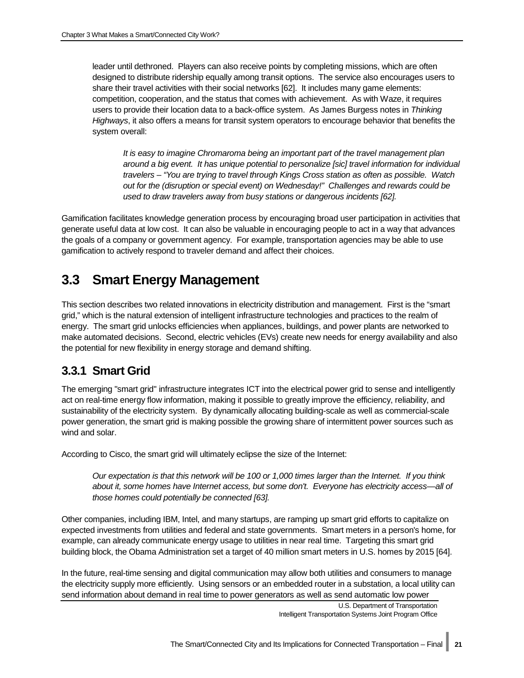leader until dethroned. Players can also receive points by completing missions, which are often designed to distribute ridership equally among transit options. The service also encourages users to share their travel activities with their social networks [62]. It includes many game elements: competition, cooperation, and the status that comes with achievement. As with Waze, it requires users to provide their location data to a back-office system. As James Burgess notes in *Thinking Highways*, it also offers a means for transit system operators to encourage behavior that benefits the system overall:

*It is easy to imagine Chromaroma being an important part of the travel management plan around a big event. It has unique potential to personalize [sic] travel information for individual travelers – "You are trying to travel through Kings Cross station as often as possible. Watch out for the (disruption or special event) on Wednesday!" Challenges and rewards could be used to draw travelers away from busy stations or dangerous incidents [62].*

Gamification facilitates knowledge generation process by encouraging broad user participation in activities that generate useful data at low cost. It can also be valuable in encouraging people to act in a way that advances the goals of a company or government agency. For example, transportation agencies may be able to use gamification to actively respond to traveler demand and affect their choices.

## <span id="page-26-0"></span>**3.3 Smart Energy Management**

This section describes two related innovations in electricity distribution and management. First is the "smart grid," which is the natural extension of intelligent infrastructure technologies and practices to the realm of energy. The smart grid unlocks efficiencies when appliances, buildings, and power plants are networked to make automated decisions. Second, electric vehicles (EVs) create new needs for energy availability and also the potential for new flexibility in energy storage and demand shifting.

## <span id="page-26-1"></span>**3.3.1 Smart Grid**

The emerging "smart grid" infrastructure integrates ICT into the electrical power grid to sense and intelligently act on real-time energy flow information, making it possible to greatly improve the efficiency, reliability, and sustainability of the electricity system. By dynamically allocating building-scale as well as commercial-scale power generation, the smart grid is making possible the growing share of intermittent power sources such as wind and solar.

According to Cisco, the smart grid will ultimately eclipse the size of the Internet:

*Our expectation is that this network will be 100 or 1,000 times larger than the Internet. If you think about it, some homes have Internet access, but some don't. Everyone has electricity access—all of those homes could potentially be connected [63].* 

Other companies, including IBM, Intel, and many startups, are ramping up smart grid efforts to capitalize on expected investments from utilities and federal and state governments. Smart meters in a person's home, for example, can already communicate energy usage to utilities in near real time. Targeting this smart grid building block, the Obama Administration set a target of 40 million smart meters in U.S. homes by 2015 [64].

In the future, real-time sensing and digital communication may allow both utilities and consumers to manage the electricity supply more efficiently. Using sensors or an embedded router in a substation, a local utility can send information about demand in real time to power generators as well as send automatic low power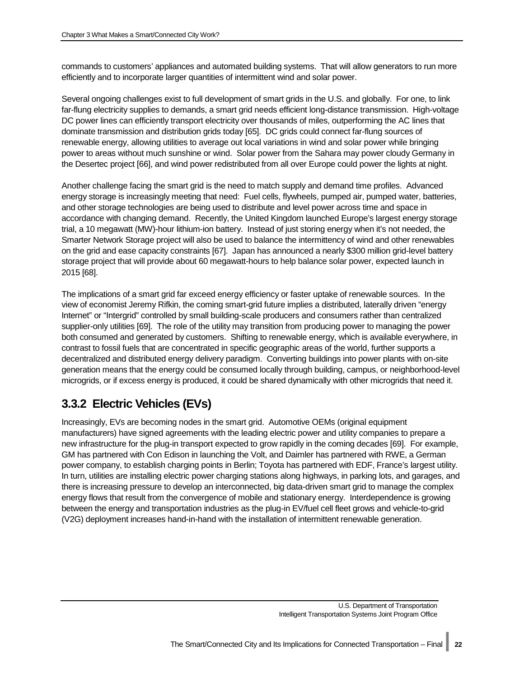commands to customers' appliances and automated building systems. That will allow generators to run more efficiently and to incorporate larger quantities of intermittent wind and solar power.

Several ongoing challenges exist to full development of smart grids in the U.S. and globally. For one, to link far-flung electricity supplies to demands, a smart grid needs efficient long-distance transmission. High-voltage DC power lines can efficiently transport electricity over thousands of miles, outperforming the AC lines that dominate transmission and distribution grids today [65]. DC grids could connect far-flung sources of renewable energy, allowing utilities to average out local variations in wind and solar power while bringing power to areas without much sunshine or wind. Solar power from the Sahara may power cloudy Germany in the Desertec project [66], and wind power redistributed from all over Europe could power the lights at night.

Another challenge facing the smart grid is the need to match supply and demand time profiles. Advanced energy storage is increasingly meeting that need: Fuel cells, flywheels, pumped air, pumped water, batteries, and other storage technologies are being used to distribute and level power across time and space in accordance with changing demand. Recently, the United Kingdom launched Europe's largest energy storage trial, a 10 megawatt (MW)-hour lithium-ion battery. Instead of just storing energy when it's not needed, the Smarter Network Storage project will also be used to balance the intermittency of wind and other renewables on the grid and ease capacity constraints [67]. Japan has announced a nearly \$300 million grid-level battery storage project that will provide about 60 megawatt-hours to help balance solar power, expected launch in 2015 [68].

The implications of a smart grid far exceed energy efficiency or faster uptake of renewable sources. In the view of economist Jeremy Rifkin, the coming smart-grid future implies a distributed, laterally driven "energy Internet" or "Intergrid" controlled by small building-scale producers and consumers rather than centralized supplier-only utilities [69]. The role of the utility may transition from producing power to managing the power both consumed and generated by customers. Shifting to renewable energy, which is available everywhere, in contrast to fossil fuels that are concentrated in specific geographic areas of the world, further supports a decentralized and distributed energy delivery paradigm. Converting buildings into power plants with on-site generation means that the energy could be consumed locally through building, campus, or neighborhood-level microgrids, or if excess energy is produced, it could be shared dynamically with other microgrids that need it.

## <span id="page-27-0"></span>**3.3.2 Electric Vehicles (EVs)**

Increasingly, EVs are becoming nodes in the smart grid. Automotive OEMs (original equipment manufacturers) have signed agreements with the leading electric power and utility companies to prepare a new infrastructure for the plug-in transport expected to grow rapidly in the coming decades [69]. For example, GM has partnered with Con Edison in launching the Volt, and Daimler has partnered with RWE, a German power company, to establish charging points in Berlin; Toyota has partnered with EDF, France's largest utility. In turn, utilities are installing electric power charging stations along highways, in parking lots, and garages, and there is increasing pressure to develop an interconnected, big data-driven smart grid to manage the complex energy flows that result from the convergence of mobile and stationary energy. Interdependence is growing between the energy and transportation industries as the plug-in EV/fuel cell fleet grows and vehicle-to-grid (V2G) deployment increases hand-in-hand with the installation of intermittent renewable generation.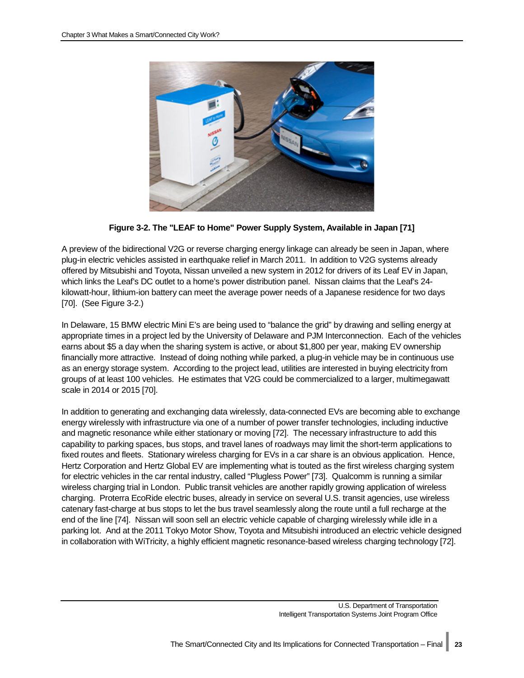

**Figure 3-2. The "LEAF to Home" Power Supply System, Available in Japan [71]**

<span id="page-28-0"></span>A preview of the bidirectional V2G or reverse charging energy linkage can already be seen in Japan, where plug-in electric vehicles assisted in earthquake relief in March 2011. In addition to V2G systems already offered by Mitsubishi and Toyota, Nissan unveiled a new system in 2012 for drivers of its Leaf EV in Japan, which links the Leaf's DC outlet to a home's power distribution panel. Nissan claims that the Leaf's 24 kilowatt-hour, lithium-ion battery can meet the average power needs of a Japanese residence for two days [70]. (See [Figure 3-2.](#page-28-0))

In Delaware, 15 BMW electric Mini E's are being used to "balance the grid" by drawing and selling energy at appropriate times in a project led by the University of Delaware and PJM Interconnection. Each of the vehicles earns about \$5 a day when the sharing system is active, or about \$1,800 per year, making EV ownership financially more attractive. Instead of doing nothing while parked, a plug-in vehicle may be in continuous use as an energy storage system. According to the project lead, utilities are interested in buying electricity from groups of at least 100 vehicles. He estimates that V2G could be commercialized to a larger, multimegawatt scale in 2014 or 2015 [70].

In addition to generating and exchanging data wirelessly, data-connected EVs are becoming able to exchange energy wirelessly with infrastructure via one of a number of power transfer technologies, including inductive and magnetic resonance while either stationary or moving [72]. The necessary infrastructure to add this capability to parking spaces, bus stops, and travel lanes of roadways may limit the short-term applications to fixed routes and fleets. Stationary wireless charging for EVs in a car share is an obvious application. Hence, Hertz Corporation and Hertz Global EV are implementing what is touted as the first wireless charging system for electric vehicles in the car rental industry, called "Plugless Power" [73]. Qualcomm is running a similar wireless charging trial in London. Public transit vehicles are another rapidly growing application of wireless charging. Proterra EcoRide electric buses, already in service on several U.S. transit agencies, use wireless catenary fast-charge at bus stops to let the bus travel seamlessly along the route until a full recharge at the end of the line [74]. Nissan will soon sell an electric vehicle capable of charging wirelessly while idle in a parking lot. And at the 2011 Tokyo Motor Show, Toyota and Mitsubishi introduced an electric vehicle designed in collaboration with WiTricity, a highly efficient magnetic resonance-based wireless charging technology [72].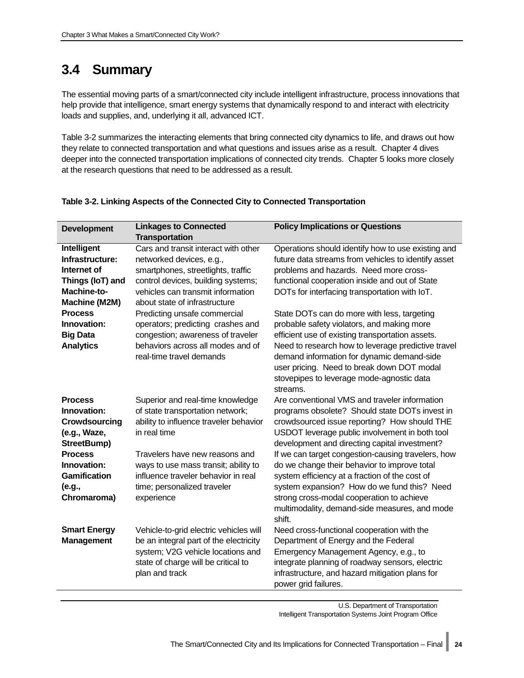## <span id="page-29-0"></span>**3.4 Summary**

The essential moving parts of a smart/connected city include intelligent infrastructure, process innovations that help provide that intelligence, smart energy systems that dynamically respond to and interact with electricity loads and supplies, and, underlying it all, advanced ICT.

[Table 3-2](#page-29-1) summarizes the interacting elements that bring connected city dynamics to life, and draws out how they relate to connected transportation and what questions and issues arise as a result. Chapter 4 dives deeper into the connected transportation implications of connected city trends. Chapter 5 looks more closely at the research questions that need to be addressed as a result.

| <b>Development</b>                                                                                                                                                        | <b>Linkages to Connected</b><br><b>Transportation</b>                                                                                                                                                                                                                                                                                                                                         | <b>Policy Implications or Questions</b>                                                                                                                                                                                                                                                                                                                                                                                                                                                                                                                                                                |
|---------------------------------------------------------------------------------------------------------------------------------------------------------------------------|-----------------------------------------------------------------------------------------------------------------------------------------------------------------------------------------------------------------------------------------------------------------------------------------------------------------------------------------------------------------------------------------------|--------------------------------------------------------------------------------------------------------------------------------------------------------------------------------------------------------------------------------------------------------------------------------------------------------------------------------------------------------------------------------------------------------------------------------------------------------------------------------------------------------------------------------------------------------------------------------------------------------|
| Intelligent<br>Infrastructure:<br>Internet of<br>Things (IoT) and<br>Machine-to-<br>Machine (M2M)<br><b>Process</b><br>Innovation:<br><b>Big Data</b><br><b>Analytics</b> | Cars and transit interact with other<br>networked devices, e.g.,<br>smartphones, streetlights, traffic<br>control devices, building systems;<br>vehicles can transmit information<br>about state of infrastructure<br>Predicting unsafe commercial<br>operators; predicting crashes and<br>congestion; awareness of traveler<br>behaviors across all modes and of<br>real-time travel demands | Operations should identify how to use existing and<br>future data streams from vehicles to identify asset<br>problems and hazards. Need more cross-<br>functional cooperation inside and out of State<br>DOTs for interfacing transportation with IoT.<br>State DOTs can do more with less, targeting<br>probable safety violators, and making more<br>efficient use of existing transportation assets.<br>Need to research how to leverage predictive travel<br>demand information for dynamic demand-side<br>user pricing. Need to break down DOT modal<br>stovepipes to leverage mode-agnostic data |
| <b>Process</b><br>Innovation:<br>Crowdsourcing<br>(e.g., Waze,<br>StreetBump)<br><b>Process</b><br>Innovation:<br><b>Gamification</b><br>(e.g.,<br>Chromaroma)            | Superior and real-time knowledge<br>of state transportation network;<br>ability to influence traveler behavior<br>in real time<br>Travelers have new reasons and<br>ways to use mass transit; ability to<br>influence traveler behavior in real<br>time; personalized traveler<br>experience                                                                                                  | streams.<br>Are conventional VMS and traveler information<br>programs obsolete? Should state DOTs invest in<br>crowdsourced issue reporting? How should THE<br>USDOT leverage public involvement in both tool<br>development and directing capital investment?<br>If we can target congestion-causing travelers, how<br>do we change their behavior to improve total<br>system efficiency at a fraction of the cost of<br>system expansion? How do we fund this? Need<br>strong cross-modal cooperation to achieve<br>multimodality, demand-side measures, and mode<br>shift.                          |
| <b>Smart Energy</b><br><b>Management</b>                                                                                                                                  | Vehicle-to-grid electric vehicles will<br>be an integral part of the electricity<br>system; V2G vehicle locations and<br>state of charge will be critical to<br>plan and track                                                                                                                                                                                                                | Need cross-functional cooperation with the<br>Department of Energy and the Federal<br>Emergency Management Agency, e.g., to<br>integrate planning of roadway sensors, electric<br>infrastructure, and hazard mitigation plans for<br>power grid failures.                                                                                                                                                                                                                                                                                                                                              |

#### <span id="page-29-1"></span>**Table 3-2. Linking Aspects of the Connected City to Connected Transportation**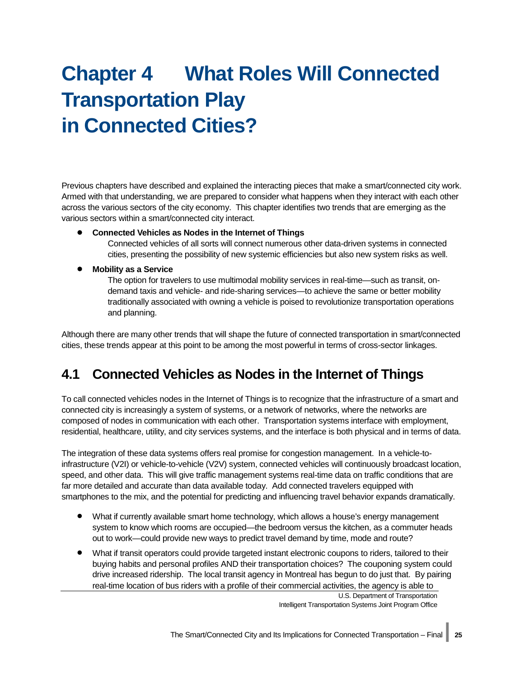# <span id="page-30-0"></span>**Chapter 4 What Roles Will Connected Transportation Play in Connected Cities?**

Previous chapters have described and explained the interacting pieces that make a smart/connected city work. Armed with that understanding, we are prepared to consider what happens when they interact with each other across the various sectors of the city economy. This chapter identifies two trends that are emerging as the various sectors within a smart/connected city interact.

• **Connected Vehicles as Nodes in the Internet of Things**

Connected vehicles of all sorts will connect numerous other data-driven systems in connected cities, presenting the possibility of new systemic efficiencies but also new system risks as well.

• **Mobility as a Service**

The option for travelers to use multimodal mobility services in real-time—such as transit, ondemand taxis and vehicle- and ride-sharing services—to achieve the same or better mobility traditionally associated with owning a vehicle is poised to revolutionize transportation operations and planning.

Although there are many other trends that will shape the future of connected transportation in smart/connected cities, these trends appear at this point to be among the most powerful in terms of cross-sector linkages.

## <span id="page-30-1"></span>**4.1 Connected Vehicles as Nodes in the Internet of Things**

To call connected vehicles nodes in the Internet of Things is to recognize that the infrastructure of a smart and connected city is increasingly a system of systems, or a network of networks, where the networks are composed of nodes in communication with each other. Transportation systems interface with employment, residential, healthcare, utility, and city services systems, and the interface is both physical and in terms of data.

The integration of these data systems offers real promise for congestion management. In a vehicle-toinfrastructure (V2I) or vehicle-to-vehicle (V2V) system, connected vehicles will continuously broadcast location, speed, and other data. This will give traffic management systems real-time data on traffic conditions that are far more detailed and accurate than data available today. Add connected travelers equipped with smartphones to the mix, and the potential for predicting and influencing travel behavior expands dramatically.

- What if currently available smart home technology, which allows a house's energy management system to know which rooms are occupied—the bedroom versus the kitchen, as a commuter heads out to work—could provide new ways to predict travel demand by time, mode and route?
- What if transit operators could provide targeted instant electronic coupons to riders, tailored to their buying habits and personal profiles AND their transportation choices? The couponing system could drive increased ridership. The local transit agency in Montreal has begun to do just that. By pairing real-time location of bus riders with a profile of their commercial activities, the agency is able to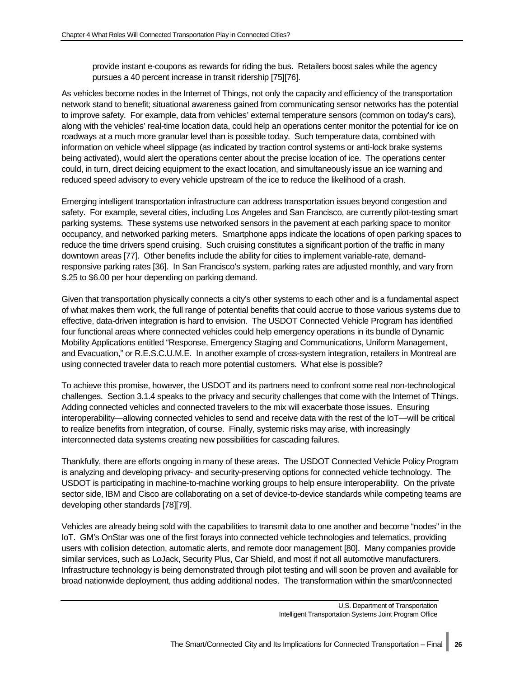provide instant e-coupons as rewards for riding the bus. Retailers boost sales while the agency pursues a 40 percent increase in transit ridership [75][76].

As vehicles become nodes in the Internet of Things, not only the capacity and efficiency of the transportation network stand to benefit; situational awareness gained from communicating sensor networks has the potential to improve safety. For example, data from vehicles' external temperature sensors (common on today's cars), along with the vehicles' real-time location data, could help an operations center monitor the potential for ice on roadways at a much more granular level than is possible today. Such temperature data, combined with information on vehicle wheel slippage (as indicated by traction control systems or anti-lock brake systems being activated), would alert the operations center about the precise location of ice. The operations center could, in turn, direct deicing equipment to the exact location, and simultaneously issue an ice warning and reduced speed advisory to every vehicle upstream of the ice to reduce the likelihood of a crash.

Emerging intelligent transportation infrastructure can address transportation issues beyond congestion and safety. For example, several cities, including Los Angeles and San Francisco, are currently pilot-testing smart parking systems. These systems use networked sensors in the pavement at each parking space to monitor occupancy, and networked parking meters. Smartphone apps indicate the locations of open parking spaces to reduce the time drivers spend cruising. Such cruising constitutes a significant portion of the traffic in many downtown areas [77]. Other benefits include the ability for cities to implement variable-rate, demandresponsive parking rates [36]. In San Francisco's system, parking rates are adjusted monthly, and vary from \$.25 to \$6.00 per hour depending on parking demand.

Given that transportation physically connects a city's other systems to each other and is a fundamental aspect of what makes them work, the full range of potential benefits that could accrue to those various systems due to effective, data-driven integration is hard to envision. The USDOT Connected Vehicle Program has identified four functional areas where connected vehicles could help emergency operations in its bundle of Dynamic Mobility Applications entitled "Response, Emergency Staging and Communications, Uniform Management, and Evacuation," or R.E.S.C.U.M.E. In another example of cross-system integration, retailers in Montreal are using connected traveler data to reach more potential customers. What else is possible?

To achieve this promise, however, the USDOT and its partners need to confront some real non-technological challenges. Section [3.1.4 s](#page-19-1)peaks to the privacy and security challenges that come with the Internet of Things. Adding connected vehicles and connected travelers to the mix will exacerbate those issues. Ensuring interoperability—allowing connected vehicles to send and receive data with the rest of the IoT—will be critical to realize benefits from integration, of course. Finally, systemic risks may arise, with increasingly interconnected data systems creating new possibilities for cascading failures.

Thankfully, there are efforts ongoing in many of these areas. The USDOT Connected Vehicle Policy Program is analyzing and developing privacy- and security-preserving options for connected vehicle technology. The USDOT is participating in machine-to-machine working groups to help ensure interoperability. On the private sector side, IBM and Cisco are collaborating on a set of device-to-device standards while competing teams are developing other standards [78][79].

Vehicles are already being sold with the capabilities to transmit data to one another and become "nodes" in the IoT. GM's OnStar was one of the first forays into connected vehicle technologies and telematics, providing users with collision detection, automatic alerts, and remote door management [80]. Many companies provide similar services, such as LoJack, Security Plus, Car Shield, and most if not all automotive manufacturers. Infrastructure technology is being demonstrated through pilot testing and will soon be proven and available for broad nationwide deployment, thus adding additional nodes. The transformation within the smart/connected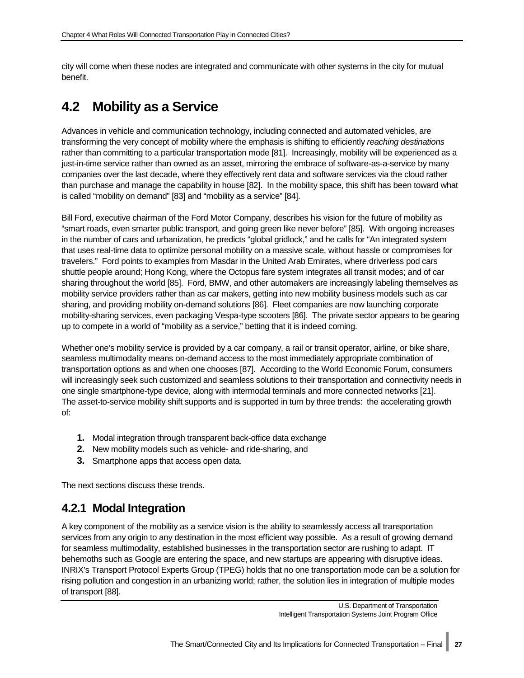city will come when these nodes are integrated and communicate with other systems in the city for mutual benefit.

## <span id="page-32-0"></span>**4.2 Mobility as a Service**

Advances in vehicle and communication technology, including connected and automated vehicles, are transforming the very concept of mobility where the emphasis is shifting to efficiently *reaching destinations* rather than committing to a particular transportation mode [81]. Increasingly, mobility will be experienced as a just-in-time service rather than owned as an asset, mirroring the embrace of software-as-a-service by many companies over the last decade, where they effectively rent data and software services via the cloud rather than purchase and manage the capability in house [82]. In the mobility space, this shift has been toward what is called "mobility on demand" [83] and "mobility as a service" [84].

Bill Ford, executive chairman of the Ford Motor Company, describes his vision for the future of mobility as "smart roads, even smarter public transport, and going green like never before" [85]. With ongoing increases in the number of cars and urbanization, he predicts "global gridlock," and he calls for "An integrated system that uses real-time data to optimize personal mobility on a massive scale, without hassle or compromises for travelers." Ford points to examples from Masdar in the United Arab Emirates, where driverless pod cars shuttle people around; Hong Kong, where the Octopus fare system integrates all transit modes; and of car sharing throughout the world [85]. Ford, BMW, and other automakers are increasingly labeling themselves as mobility service providers rather than as car makers, getting into new mobility business models such as car sharing, and providing mobility on-demand solutions [86]. Fleet companies are now launching corporate mobility-sharing services, even packaging Vespa-type scooters [86]. The private sector appears to be gearing up to compete in a world of "mobility as a service," betting that it is indeed coming.

Whether one's mobility service is provided by a car company, a rail or transit operator, airline, or bike share, seamless multimodality means on-demand access to the most immediately appropriate combination of transportation options as and when one chooses [87]. According to the World Economic Forum, consumers will increasingly seek such customized and seamless solutions to their transportation and connectivity needs in one single smartphone-type device, along with intermodal terminals and more connected networks [21]. The asset-to-service mobility shift supports and is supported in turn by three trends: the accelerating growth of:

- **1.** Modal integration through transparent back-office data exchange
- **2.** New mobility models such as vehicle- and ride-sharing, and
- **3.** Smartphone apps that access open data.

The next sections discuss these trends.

## <span id="page-32-1"></span>**4.2.1 Modal Integration**

A key component of the mobility as a service vision is the ability to seamlessly access all transportation services from any origin to any destination in the most efficient way possible. As a result of growing demand for seamless multimodality, established businesses in the transportation sector are rushing to adapt. IT behemoths such as Google are entering the space, and new startups are appearing with disruptive ideas. INRIX's Transport Protocol Experts Group (TPEG) holds that no one transportation mode can be a solution for rising pollution and congestion in an urbanizing world; rather, the solution lies in integration of multiple modes of transport [88].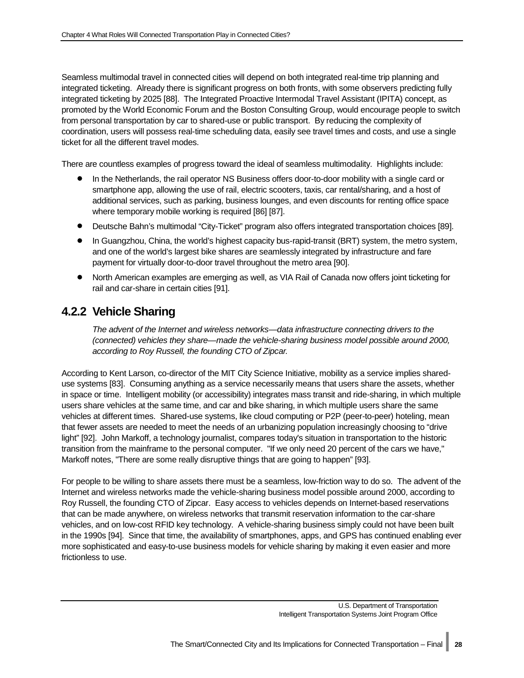Seamless multimodal travel in connected cities will depend on both integrated real-time trip planning and integrated ticketing. Already there is significant progress on both fronts, with some observers predicting fully integrated ticketing by 2025 [88]. The Integrated Proactive Intermodal Travel Assistant (IPITA) concept, as promoted by the World Economic Forum and the Boston Consulting Group, would encourage people to switch from personal transportation by car to shared-use or public transport. By reducing the complexity of coordination, users will possess real-time scheduling data, easily see travel times and costs, and use a single ticket for all the different travel modes.

There are countless examples of progress toward the ideal of seamless multimodality. Highlights include:

- In the Netherlands, the rail operator NS Business offers door-to-door mobility with a single card or smartphone app, allowing the use of rail, electric scooters, taxis, car rental/sharing, and a host of additional services, such as parking, business lounges, and even discounts for renting office space where temporary mobile working is required [86] [87].
- Deutsche Bahn's multimodal "City-Ticket" program also offers integrated transportation choices [89].
- In Guangzhou, China, the world's highest capacity bus-rapid-transit (BRT) system, the metro system, and one of the world's largest bike shares are seamlessly integrated by infrastructure and fare payment for virtually door-to-door travel throughout the metro area [90].
- North American examples are emerging as well, as VIA Rail of Canada now offers joint ticketing for rail and car-share in certain cities [91].

### <span id="page-33-0"></span>**4.2.2 Vehicle Sharing**

*The advent of the Internet and wireless networks—data infrastructure connecting drivers to the (connected) vehicles they share—made the vehicle-sharing business model possible around 2000, according to Roy Russell, the founding CTO of Zipcar.* 

According to Kent Larson, co-director of the MIT City Science Initiative, mobility as a service implies shareduse systems [83]. Consuming anything as a service necessarily means that users share the assets, whether in space or time. Intelligent mobility (or accessibility) integrates mass transit and ride-sharing, in which multiple users share vehicles at the same time, and car and bike sharing, in which multiple users share the same vehicles at different times. Shared-use systems, like cloud computing or P2P (peer-to-peer) hoteling, mean that fewer assets are needed to meet the needs of an urbanizing population increasingly choosing to "drive light" [92]. John Markoff, a technology journalist, compares today's situation in transportation to the historic transition from the mainframe to the personal computer. "If we only need 20 percent of the cars we have," Markoff notes, "There are some really disruptive things that are going to happen" [93].

For people to be willing to share assets there must be a seamless, low-friction way to do so. The advent of the Internet and wireless networks made the vehicle-sharing business model possible around 2000, according to Roy Russell, the founding CTO of Zipcar. Easy access to vehicles depends on Internet-based reservations that can be made anywhere, on wireless networks that transmit reservation information to the car-share vehicles, and on low-cost RFID key technology. A vehicle-sharing business simply could not have been built in the 1990s [94]. Since that time, the availability of smartphones, apps, and GPS has continued enabling ever more sophisticated and easy-to-use business models for vehicle sharing by making it even easier and more frictionless to use.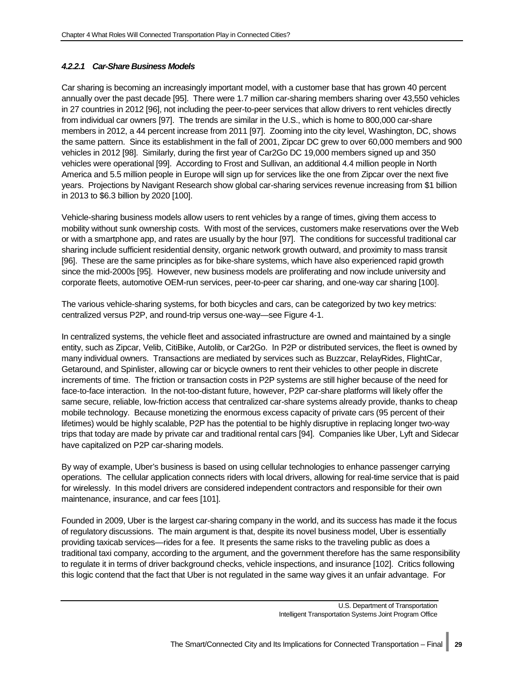#### *4.2.2.1 Car-Share Business Models*

Car sharing is becoming an increasingly important model, with a customer base that has grown 40 percent annually over the past decade [95]. There were 1.7 million car-sharing members sharing over 43,550 vehicles in 27 countries in 2012 [96], not including the peer-to-peer services that allow drivers to rent vehicles directly from individual car owners [97]. The trends are similar in the U.S., which is home to 800,000 car-share members in 2012, a 44 percent increase from 2011 [97]. Zooming into the city level, Washington, DC, shows the same pattern. Since its establishment in the fall of 2001, Zipcar DC grew to over 60,000 members and 900 vehicles in 2012 [98]. Similarly, during the first year of Car2Go DC 19,000 members signed up and 350 vehicles were operational [99]. According to Frost and Sullivan, an additional 4.4 million people in North America and 5.5 million people in Europe will sign up for services like the one from Zipcar over the next five years. Projections by Navigant Research show global car-sharing services revenue increasing from \$1 billion in 2013 to \$6.3 billion by 2020 [100].

Vehicle-sharing business models allow users to rent vehicles by a range of times, giving them access to mobility without sunk ownership costs. With most of the services, customers make reservations over the Web or with a smartphone app, and rates are usually by the hour [97]. The conditions for successful traditional car sharing include sufficient residential density, organic network growth outward, and proximity to mass transit [96]. These are the same principles as for bike-share systems, which have also experienced rapid growth since the mid-2000s [95]. However, new business models are proliferating and now include university and corporate fleets, automotive OEM-run services, peer-to-peer car sharing, and one-way car sharing [100].

The various vehicle-sharing systems, for both bicycles and cars, can be categorized by two key metrics: centralized versus P2P, and round-trip versus one-way—see [Figure 4-1.](#page-35-0)

In centralized systems, the vehicle fleet and associated infrastructure are owned and maintained by a single entity, such as Zipcar, Velib, CitiBike, Autolib, or Car2Go. In P2P or distributed services, the fleet is owned by many individual owners. Transactions are mediated by services such as Buzzcar, RelayRides, FlightCar, Getaround, and Spinlister, allowing car or bicycle owners to rent their vehicles to other people in discrete increments of time. The friction or transaction costs in P2P systems are still higher because of the need for face-to-face interaction. In the not-too-distant future, however, P2P car-share platforms will likely offer the same secure, reliable, low-friction access that centralized car-share systems already provide, thanks to cheap mobile technology. Because monetizing the enormous excess capacity of private cars (95 percent of their lifetimes) would be highly scalable, P2P has the potential to be highly disruptive in replacing longer two-way trips that today are made by private car and traditional rental cars [94]. Companies like Uber, Lyft and Sidecar have capitalized on P2P car-sharing models.

By way of example, Uber's business is based on using cellular technologies to enhance passenger carrying operations. The cellular application connects riders with local drivers, allowing for real-time service that is paid for wirelessly. In this model drivers are considered independent contractors and responsible for their own maintenance, insurance, and car fees [101].

Founded in 2009, Uber is the largest car-sharing company in the world, and its success has made it the focus of regulatory discussions. The main argument is that, despite its novel business model, Uber is essentially providing taxicab services—rides for a fee. It presents the same risks to the traveling public as does a traditional taxi company, according to the argument, and the government therefore has the same responsibility to regulate it in terms of driver background checks, vehicle inspections, and insurance [102]. Critics following this logic contend that the fact that Uber is not regulated in the same way gives it an unfair advantage. For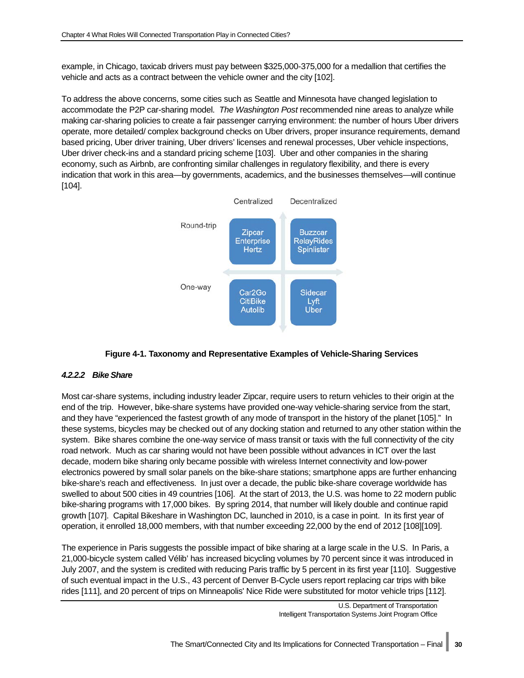example, in Chicago, taxicab drivers must pay between \$325,000-375,000 for a medallion that certifies the vehicle and acts as a contract between the vehicle owner and the city [102].

To address the above concerns, some cities such as Seattle and Minnesota have changed legislation to accommodate the P2P car-sharing model. *The Washington Post* recommended nine areas to analyze while making car-sharing policies to create a fair passenger carrying environment: the number of hours Uber drivers operate, more detailed/ complex background checks on Uber drivers, proper insurance requirements, demand based pricing, Uber driver training, Uber drivers' licenses and renewal processes, Uber vehicle inspections, Uber driver check-ins and a standard pricing scheme [103]. Uber and other companies in the sharing economy, such as Airbnb, are confronting similar challenges in regulatory flexibility, and there is every indication that work in this area—by governments, academics, and the businesses themselves—will continue [104].



#### **Figure 4-1. Taxonomy and Representative Examples of Vehicle-Sharing Services**

#### <span id="page-35-0"></span>*4.2.2.2 Bike Share*

Most car-share systems, including industry leader Zipcar, require users to return vehicles to their origin at the end of the trip. However, bike-share systems have provided one-way vehicle-sharing service from the start, and they have "experienced the fastest growth of any mode of transport in the history of the planet [105]." In these systems, bicycles may be checked out of any docking station and returned to any other station within the system. Bike shares combine the one-way service of mass transit or taxis with the full connectivity of the city road network. Much as car sharing would not have been possible without advances in ICT over the last decade, modern bike sharing only became possible with wireless Internet connectivity and low-power electronics powered by small solar panels on the bike-share stations; smartphone apps are further enhancing bike-share's reach and effectiveness. In just over a decade, the public bike-share coverage worldwide has swelled to about 500 cities in 49 countries [106]. At the start of 2013, the U.S. was home to 22 modern public bike-sharing programs with 17,000 bikes. By spring 2014, that number will likely double and continue rapid growth [107]. Capital Bikeshare in Washington DC, launched in 2010, is a case in point. In its first year of operation, it enrolled 18,000 members, with that number exceeding 22,000 by the end of 2012 [108][109].

The experience in Paris suggests the possible impact of bike sharing at a large scale in the U.S. In Paris, a 21,000-bicycle system called Vélib' has increased bicycling volumes by 70 percent since it was introduced in July 2007, and the system is credited with reducing Paris traffic by 5 percent in its first year [110]. Suggestive of such eventual impact in the U.S., 43 percent of Denver B-Cycle users report replacing car trips with bike rides [111], and 20 percent of trips on Minneapolis' Nice Ride were substituted for motor vehicle trips [112].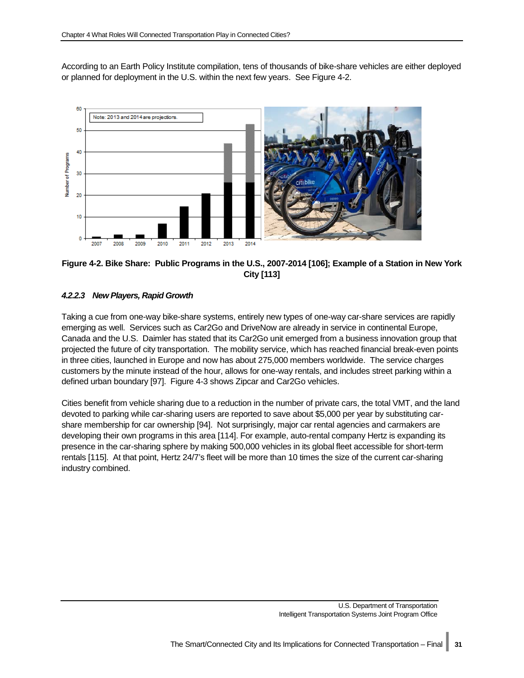According to an Earth Policy Institute compilation, tens of thousands of bike-share vehicles are either deployed or planned for deployment in the U.S. within the next few years. See [Figure 4-2.](#page-36-0)



#### <span id="page-36-0"></span>**Figure 4-2. Bike Share: Public Programs in the U.S., 2007-2014 [106]; Example of a Station in New York City [113]**

#### *4.2.2.3 New Players, Rapid Growth*

Taking a cue from one-way bike-share systems, entirely new types of one-way car-share services are rapidly emerging as well. Services such as Car2Go and DriveNow are already in service in continental Europe, Canada and the U.S. Daimler has stated that its Car2Go unit emerged from a business innovation group that projected the future of city transportation. The mobility service, which has reached financial break-even points in three cities, launched in Europe and now has about 275,000 members worldwide. The service charges customers by the minute instead of the hour, allows for one-way rentals, and includes street parking within a defined urban boundary [97]. [Figure 4-3](#page-37-0) shows Zipcar and Car2Go vehicles.

Cities benefit from vehicle sharing due to a reduction in the number of private cars, the total VMT, and the land devoted to parking while car-sharing users are reported to save about \$5,000 per year by substituting carshare membership for car ownership [94]. Not surprisingly, major car rental agencies and carmakers are developing their own programs in this area [114]. For example, auto-rental company Hertz is expanding its presence in the car-sharing sphere by making 500,000 vehicles in its global fleet accessible for short-term rentals [115]. At that point, Hertz 24/7's fleet will be more than 10 times the size of the current car-sharing industry combined.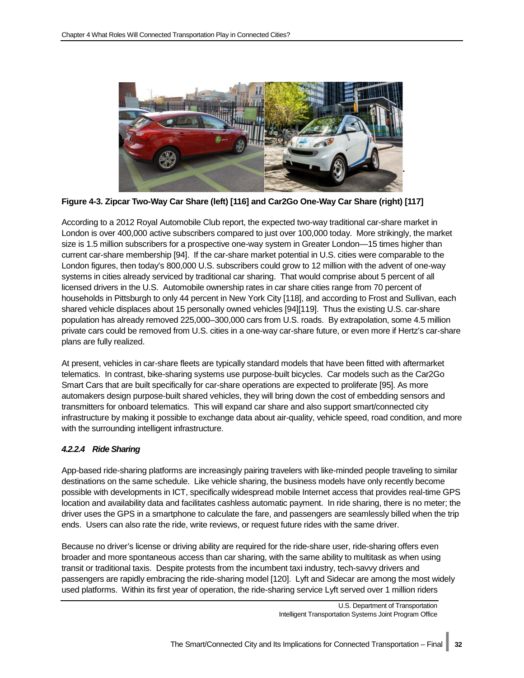

**Figure 4-3. Zipcar Two-Way Car Share (left) [116] and Car2Go One-Way Car Share (right) [117]**

<span id="page-37-0"></span>According to a 2012 Royal Automobile Club report, the expected two-way traditional car-share market in London is over 400,000 active subscribers compared to just over 100,000 today. More strikingly, the market size is 1.5 million subscribers for a prospective one-way system in Greater London—15 times higher than current car-share membership [94]. If the car-share market potential in U.S. cities were comparable to the London figures, then today's 800,000 U.S. subscribers could grow to 12 million with the advent of one-way systems in cities already serviced by traditional car sharing. That would comprise about 5 percent of all licensed drivers in the U.S. Automobile ownership rates in car share cities range from 70 percent of households in Pittsburgh to only 44 percent in New York City [118], and according to Frost and Sullivan, each shared vehicle displaces about 15 personally owned vehicles [94][119]. Thus the existing U.S. car-share population has already removed 225,000–300,000 cars from U.S. roads. By extrapolation, some 4.5 million private cars could be removed from U.S. cities in a one-way car-share future, or even more if Hertz's car-share plans are fully realized.

At present, vehicles in car-share fleets are typically standard models that have been fitted with aftermarket telematics. In contrast, bike-sharing systems use purpose-built bicycles. Car models such as the Car2Go Smart Cars that are built specifically for car-share operations are expected to proliferate [95]. As more automakers design purpose-built shared vehicles, they will bring down the cost of embedding sensors and transmitters for onboard telematics. This will expand car share and also support smart/connected city infrastructure by making it possible to exchange data about air-quality, vehicle speed, road condition, and more with the surrounding intelligent infrastructure.

#### *4.2.2.4 Ride Sharing*

App-based ride-sharing platforms are increasingly pairing travelers with like-minded people traveling to similar destinations on the same schedule. Like vehicle sharing, the business models have only recently become possible with developments in ICT, specifically widespread mobile Internet access that provides real-time GPS location and availability data and facilitates cashless automatic payment. In ride sharing, there is no meter; the driver uses the GPS in a smartphone to calculate the fare, and passengers are seamlessly billed when the trip ends. Users can also rate the ride, write reviews, or request future rides with the same driver.

Because no driver's license or driving ability are required for the ride-share user, ride-sharing offers even broader and more spontaneous access than car sharing, with the same ability to multitask as when using transit or traditional taxis. Despite protests from the incumbent taxi industry, tech-savvy drivers and passengers are rapidly embracing the ride-sharing model [120]. Lyft and Sidecar are among the most widely used platforms. Within its first year of operation, the ride-sharing service Lyft served over 1 million riders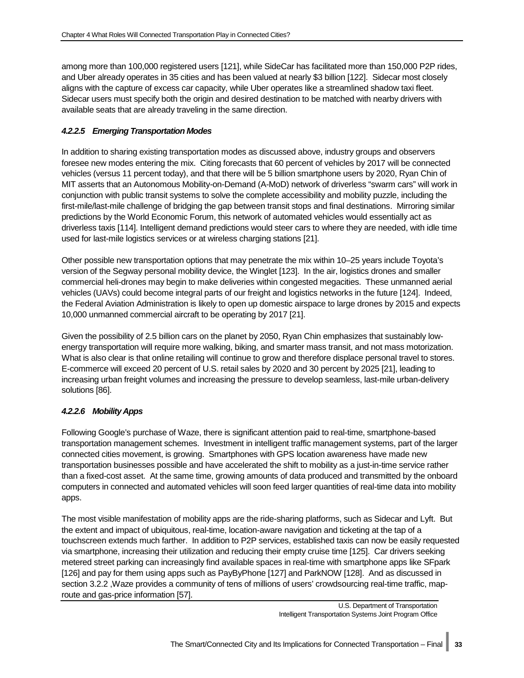among more than 100,000 registered users [121], while SideCar has facilitated more than 150,000 P2P rides, and Uber already operates in 35 cities and has been valued at nearly \$3 billion [122]. Sidecar most closely aligns with the capture of excess car capacity, while Uber operates like a streamlined shadow taxi fleet. Sidecar users must specify both the origin and desired destination to be matched with nearby drivers with available seats that are already traveling in the same direction.

#### *4.2.2.5 Emerging Transportation Modes*

In addition to sharing existing transportation modes as discussed above, industry groups and observers foresee new modes entering the mix. Citing forecasts that 60 percent of vehicles by 2017 will be connected vehicles (versus 11 percent today), and that there will be 5 billion smartphone users by 2020, Ryan Chin of MIT asserts that an Autonomous Mobility-on-Demand (A-MoD) network of driverless "swarm cars" will work in conjunction with public transit systems to solve the complete accessibility and mobility puzzle, including the first-mile/last-mile challenge of bridging the gap between transit stops and final destinations. Mirroring similar predictions by the World Economic Forum, this network of automated vehicles would essentially act as driverless taxis [114]. Intelligent demand predictions would steer cars to where they are needed, with idle time used for last-mile logistics services or at wireless charging stations [21].

Other possible new transportation options that may penetrate the mix within 10–25 years include Toyota's version of the Segway personal mobility device, the Winglet [123]. In the air, logistics drones and smaller commercial heli-drones may begin to make deliveries within congested megacities. These unmanned aerial vehicles (UAVs) could become integral parts of our freight and logistics networks in the future [124]. Indeed, the Federal Aviation Administration is likely to open up domestic airspace to large drones by 2015 and expects 10,000 unmanned commercial aircraft to be operating by 2017 [21].

Given the possibility of 2.5 billion cars on the planet by 2050, Ryan Chin emphasizes that sustainably lowenergy transportation will require more walking, biking, and smarter mass transit, and not mass motorization. What is also clear is that online retailing will continue to grow and therefore displace personal travel to stores. E-commerce will exceed 20 percent of U.S. retail sales by 2020 and 30 percent by 2025 [21], leading to increasing urban freight volumes and increasing the pressure to develop seamless, last-mile urban-delivery solutions [86].

#### *4.2.2.6 Mobility Apps*

Following Google's purchase of Waze, there is significant attention paid to real-time, smartphone-based transportation management schemes. Investment in intelligent traffic management systems, part of the larger connected cities movement, is growing. Smartphones with GPS location awareness have made new transportation businesses possible and have accelerated the shift to mobility as a just-in-time service rather than a fixed-cost asset. At the same time, growing amounts of data produced and transmitted by the onboard computers in connected and automated vehicles will soon feed larger quantities of real-time data into mobility apps.

The most visible manifestation of mobility apps are the ride-sharing platforms, such as Sidecar and Lyft. But the extent and impact of ubiquitous, real-time, location-aware navigation and ticketing at the tap of a touchscreen extends much farther. In addition to P2P services, established taxis can now be easily requested via smartphone, increasing their utilization and reducing their empty cruise time [125]. Car drivers seeking metered street parking can increasingly find available spaces in real-time with smartphone apps like SFpark [126] and pay for them using apps such as PayByPhone [127] and ParkNOW [128]. And as discussed in section [3.2.2 ,](#page-24-0) Waze provides a community of tens of millions of users' crowdsourcing real-time traffic, maproute and gas-price information [57].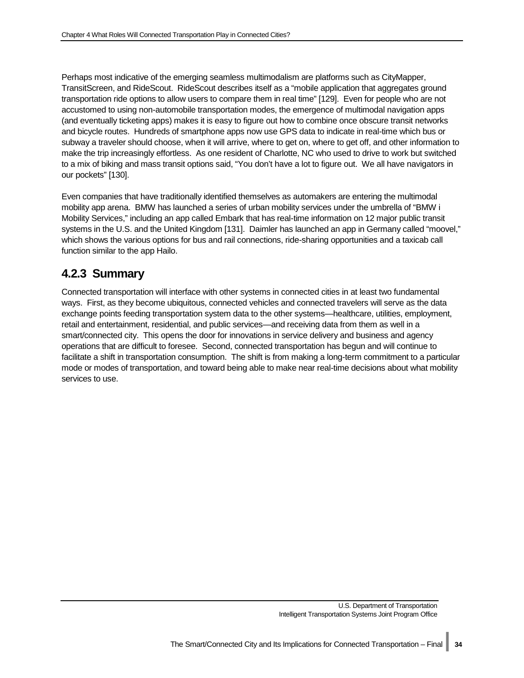Perhaps most indicative of the emerging seamless multimodalism are platforms such as CityMapper, TransitScreen, and RideScout. RideScout describes itself as a "mobile application that aggregates ground transportation ride options to allow users to compare them in real time" [129]. Even for people who are not accustomed to using non-automobile transportation modes, the emergence of multimodal navigation apps (and eventually ticketing apps) makes it is easy to figure out how to combine once obscure transit networks and bicycle routes. Hundreds of smartphone apps now use GPS data to indicate in real-time which bus or subway a traveler should choose, when it will arrive, where to get on, where to get off, and other information to make the trip increasingly effortless. As one resident of Charlotte, NC who used to drive to work but switched to a mix of biking and mass transit options said, "You don't have a lot to figure out. We all have navigators in our pockets" [130].

Even companies that have traditionally identified themselves as automakers are entering the multimodal mobility app arena. BMW has launched a series of urban mobility services under the umbrella of "BMW i Mobility Services," including an app called Embark that has real-time information on 12 major public transit systems in the U.S. and the United Kingdom [131]. Daimler has launched an app in Germany called "moovel," which shows the various options for bus and rail connections, ride-sharing opportunities and a taxicab call function similar to the app Hailo.

### <span id="page-39-0"></span>**4.2.3 Summary**

Connected transportation will interface with other systems in connected cities in at least two fundamental ways. First, as they become ubiquitous, connected vehicles and connected travelers will serve as the data exchange points feeding transportation system data to the other systems—healthcare, utilities, employment, retail and entertainment, residential, and public services—and receiving data from them as well in a smart/connected city. This opens the door for innovations in service delivery and business and agency operations that are difficult to foresee. Second, connected transportation has begun and will continue to facilitate a shift in transportation consumption. The shift is from making a long-term commitment to a particular mode or modes of transportation, and toward being able to make near real-time decisions about what mobility services to use.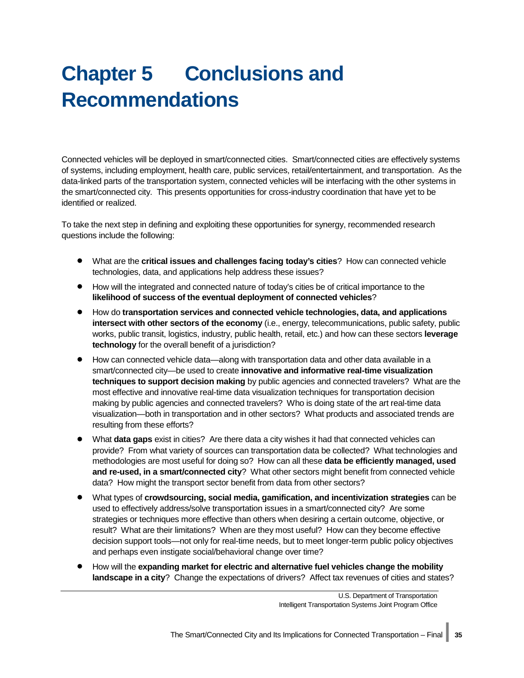# <span id="page-40-0"></span>**Chapter 5 Conclusions and Recommendations**

Connected vehicles will be deployed in smart/connected cities. Smart/connected cities are effectively systems of systems, including employment, health care, public services, retail/entertainment, and transportation. As the data-linked parts of the transportation system, connected vehicles will be interfacing with the other systems in the smart/connected city. This presents opportunities for cross-industry coordination that have yet to be identified or realized.

To take the next step in defining and exploiting these opportunities for synergy, recommended research questions include the following:

- What are the **critical issues and challenges facing today's cities**? How can connected vehicle technologies, data, and applications help address these issues?
- How will the integrated and connected nature of today's cities be of critical importance to the **likelihood of success of the eventual deployment of connected vehicles**?
- How do **transportation services and connected vehicle technologies, data, and applications intersect with other sectors of the economy** (i.e., energy, telecommunications, public safety, public works, public transit, logistics, industry, public health, retail, etc.) and how can these sectors **leverage technology** for the overall benefit of a jurisdiction?
- How can connected vehicle data—along with transportation data and other data available in a smart/connected city—be used to create **innovative and informative real-time visualization techniques to support decision making** by public agencies and connected travelers? What are the most effective and innovative real-time data visualization techniques for transportation decision making by public agencies and connected travelers? Who is doing state of the art real-time data visualization—both in transportation and in other sectors? What products and associated trends are resulting from these efforts?
- What **data gaps** exist in cities? Are there data a city wishes it had that connected vehicles can provide? From what variety of sources can transportation data be collected? What technologies and methodologies are most useful for doing so? How can all these **data be efficiently managed, used and re-used, in a smart/connected city**? What other sectors might benefit from connected vehicle data? How might the transport sector benefit from data from other sectors?
- What types of **crowdsourcing, social media, gamification, and incentivization strategies** can be used to effectively address/solve transportation issues in a smart/connected city? Are some strategies or techniques more effective than others when desiring a certain outcome, objective, or result? What are their limitations? When are they most useful? How can they become effective decision support tools—not only for real-time needs, but to meet longer-term public policy objectives and perhaps even instigate social/behavioral change over time?
- How will the **expanding market for electric and alternative fuel vehicles change the mobility landscape in a city**? Change the expectations of drivers? Affect tax revenues of cities and states?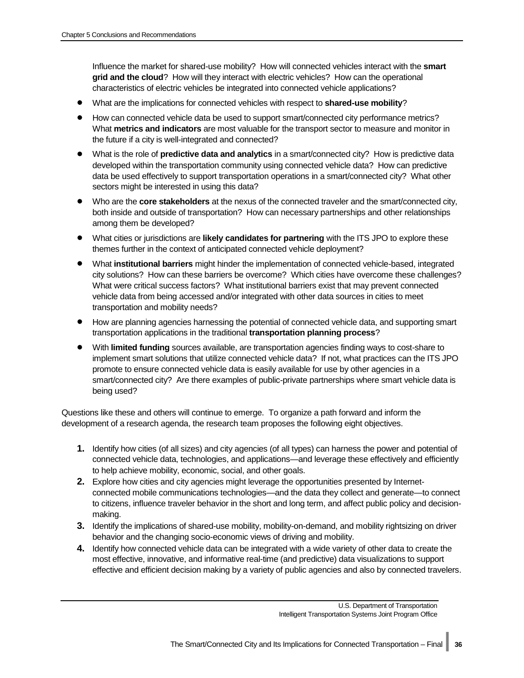Influence the market for shared-use mobility? How will connected vehicles interact with the **smart grid and the cloud**? How will they interact with electric vehicles? How can the operational characteristics of electric vehicles be integrated into connected vehicle applications?

- What are the implications for connected vehicles with respect to **shared-use mobility**?
- How can connected vehicle data be used to support smart/connected city performance metrics? What **metrics and indicators** are most valuable for the transport sector to measure and monitor in the future if a city is well-integrated and connected?
- What is the role of **predictive data and analytics** in a smart/connected city? How is predictive data developed within the transportation community using connected vehicle data? How can predictive data be used effectively to support transportation operations in a smart/connected city? What other sectors might be interested in using this data?
- Who are the **core stakeholders** at the nexus of the connected traveler and the smart/connected city, both inside and outside of transportation? How can necessary partnerships and other relationships among them be developed?
- What cities or jurisdictions are **likely candidates for partnering** with the ITS JPO to explore these themes further in the context of anticipated connected vehicle deployment?
- What **institutional barriers** might hinder the implementation of connected vehicle-based, integrated city solutions? How can these barriers be overcome? Which cities have overcome these challenges? What were critical success factors? What institutional barriers exist that may prevent connected vehicle data from being accessed and/or integrated with other data sources in cities to meet transportation and mobility needs?
- How are planning agencies harnessing the potential of connected vehicle data, and supporting smart transportation applications in the traditional **transportation planning process**?
- With **limited funding** sources available, are transportation agencies finding ways to cost-share to implement smart solutions that utilize connected vehicle data? If not, what practices can the ITS JPO promote to ensure connected vehicle data is easily available for use by other agencies in a smart/connected city? Are there examples of public-private partnerships where smart vehicle data is being used?

Questions like these and others will continue to emerge. To organize a path forward and inform the development of a research agenda, the research team proposes the following eight objectives.

- **1.** Identify how cities (of all sizes) and city agencies (of all types) can harness the power and potential of connected vehicle data, technologies, and applications—and leverage these effectively and efficiently to help achieve mobility, economic, social, and other goals.
- **2.** Explore how cities and city agencies might leverage the opportunities presented by Internetconnected mobile communications technologies—and the data they collect and generate—to connect to citizens, influence traveler behavior in the short and long term, and affect public policy and decisionmaking.
- **3.** Identify the implications of shared-use mobility, mobility-on-demand, and mobility rightsizing on driver behavior and the changing socio-economic views of driving and mobility.
- **4.** Identify how connected vehicle data can be integrated with a wide variety of other data to create the most effective, innovative, and informative real-time (and predictive) data visualizations to support effective and efficient decision making by a variety of public agencies and also by connected travelers.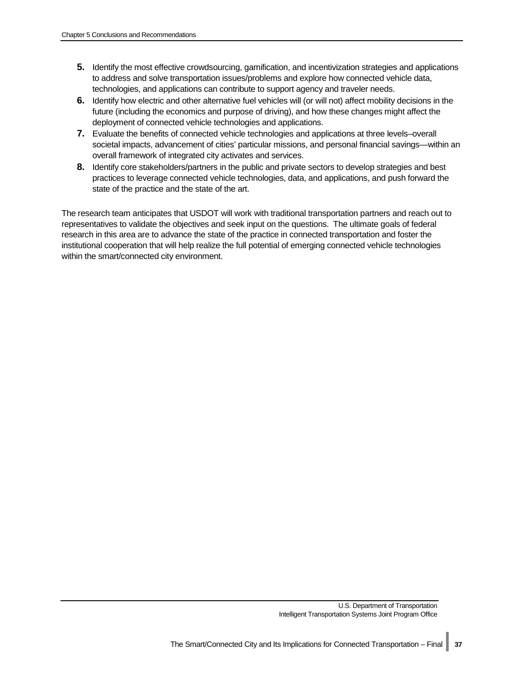- **5.** Identify the most effective crowdsourcing, gamification, and incentivization strategies and applications to address and solve transportation issues/problems and explore how connected vehicle data, technologies, and applications can contribute to support agency and traveler needs.
- **6.** Identify how electric and other alternative fuel vehicles will (or will not) affect mobility decisions in the future (including the economics and purpose of driving), and how these changes might affect the deployment of connected vehicle technologies and applications.
- **7.** Evaluate the benefits of connected vehicle technologies and applications at three levels–overall societal impacts, advancement of cities' particular missions, and personal financial savings—within an overall framework of integrated city activates and services.
- **8.** Identify core stakeholders/partners in the public and private sectors to develop strategies and best practices to leverage connected vehicle technologies, data, and applications, and push forward the state of the practice and the state of the art.

The research team anticipates that USDOT will work with traditional transportation partners and reach out to representatives to validate the objectives and seek input on the questions. The ultimate goals of federal research in this area are to advance the state of the practice in connected transportation and foster the institutional cooperation that will help realize the full potential of emerging connected vehicle technologies within the smart/connected city environment.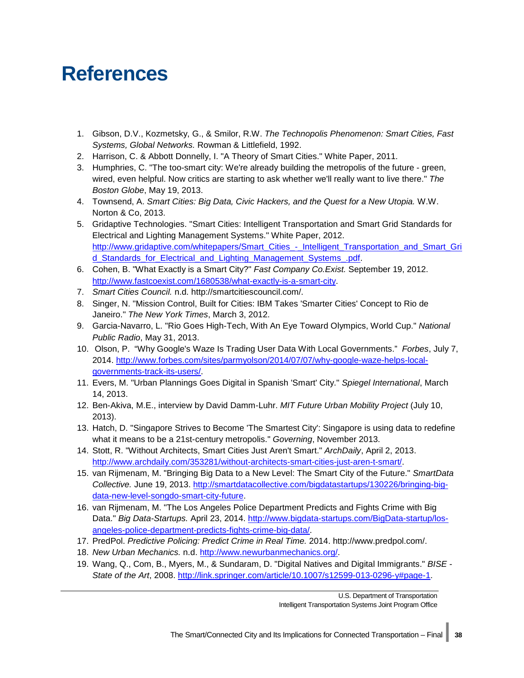## <span id="page-43-0"></span>**References**

- 1. Gibson, D.V., Kozmetsky, G., & Smilor, R.W. *The Technopolis Phenomenon: Smart Cities, Fast Systems, Global Networks.* Rowman & Littlefield, 1992.
- 2. Harrison, C. & Abbott Donnelly, I. "A Theory of Smart Cities." White Paper, 2011.
- 3. Humphries, C. "The too-smart city: We're already building the metropolis of the future green, wired, even helpful. Now critics are starting to ask whether we'll really want to live there." *The Boston Globe*, May 19, 2013.
- 4. Townsend, A. *Smart Cities: Big Data, Civic Hackers, and the Quest for a New Utopia.* W.W. Norton & Co, 2013.
- 5. Gridaptive Technologies. "Smart Cities: Intelligent Transportation and Smart Grid Standards for Electrical and Lighting Management Systems." White Paper, 2012. http://www.gridaptive.com/whitepapers/Smart\_Cities - Intelligent\_Transportation\_and\_Smart\_Gri [d\\_Standards\\_for\\_Electrical\\_and\\_Lighting\\_Management\\_Systems\\_.pdf.](http://www.gridaptive.com/whitepapers/Smart_Cities_%1e_Intelligent_Transportation_and_Smart_Grid_Standards_for_Electrical_and_Lighting_Management_Systems_.pdf)
- 6. Cohen, B. "What Exactly is a Smart City?" *Fast Company Co.Exist.* September 19, 2012. [http://www.fastcoexist.com/1680538/what-exactly-is-a-smart-city.](http://www.fastcoexist.com/1680538/what-exactly-is-a-smart-city)
- 7. *Smart Cities Council.* n.d. http://smartcitiescouncil.com/.
- 8. Singer, N. "Mission Control, Built for Cities: IBM Takes 'Smarter Cities' Concept to Rio de Janeiro." *The New York Times*, March 3, 2012.
- 9. Garcia-Navarro, L. "Rio Goes High-Tech, With An Eye Toward Olympics, World Cup." *National Public Radio*, May 31, 2013.
- 10. Olson, P. "Why Google's Waze Is Trading User Data With Local Governments." *Forbes*, July 7, 2014. [http://www.forbes.com/sites/parmyolson/2014/07/07/why-google-waze-helps-local](http://www.forbes.com/sites/parmyolson/2014/07/07/why-google-waze-helps-local-governments-track-its-users/)[governments-track-its-users/.](http://www.forbes.com/sites/parmyolson/2014/07/07/why-google-waze-helps-local-governments-track-its-users/)
- 11. Evers, M. "Urban Plannings Goes Digital in Spanish 'Smart' City." *Spiegel International*, March 14, 2013.
- 12. Ben-Akiva, M.E., interview by David Damm-Luhr. *MIT Future Urban Mobility Project* (July 10, 2013).
- 13. Hatch, D. "Singapore Strives to Become 'The Smartest City': Singapore is using data to redefine what it means to be a 21st-century metropolis." *Governing*, November 2013.
- 14. Stott, R. "Without Architects, Smart Cities Just Aren't Smart." *ArchDaily*, April 2, 2013. [http://www.archdaily.com/353281/without-architects-smart-cities-just-aren-t-smart/.](http://www.archdaily.com/353281/without-architects-smart-cities-just-aren-t-smart/)
- 15. van Rijmenam, M. "Bringing Big Data to a New Level: The Smart City of the Future." *SmartData Collective.* June 19, 2013. [http://smartdatacollective.com/bigdatastartups/130226/bringing-big](http://smartdatacollective.com/bigdatastartups/130226/bringing-big-data-new-level-songdo-smart-city-future)[data-new-level-songdo-smart-city-future.](http://smartdatacollective.com/bigdatastartups/130226/bringing-big-data-new-level-songdo-smart-city-future)
- 16. van Rijmenam, M. "The Los Angeles Police Department Predicts and Fights Crime with Big Data." *Big Data-Startups.* April 23, 2014. [http://www.bigdata-startups.com/BigData-startup/los](http://www.bigdata-startups.com/BigData-startup/los-angeles-police-department-predicts-fights-crime-big-data/)[angeles-police-department-predicts-fights-crime-big-data/.](http://www.bigdata-startups.com/BigData-startup/los-angeles-police-department-predicts-fights-crime-big-data/)
- 17. PredPol. *Predictive Policing: Predict Crime in Real Time.* 2014. http://www.predpol.com/.
- 18. *New Urban Mechanics.* n.d. [http://www.newurbanmechanics.org/.](http://www.newurbanmechanics.org/)
- 19. Wang, Q., Com, B., Myers, M., & Sundaram, D. "Digital Natives and Digital Immigrants." *BISE - State of the Art*, 2008. [http://link.springer.com/article/10.1007/s12599-013-0296-y#page-1.](http://link.springer.com/article/10.1007/s12599-013-0296-y#page-1)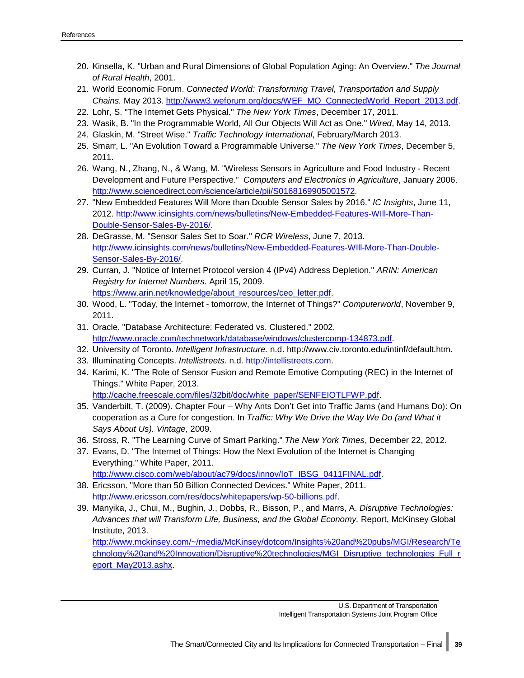- 20. Kinsella, K. "Urban and Rural Dimensions of Global Population Aging: An Overview." *The Journal of Rural Health*, 2001.
- 21. World Economic Forum. *Connected World: Transforming Travel, Transportation and Supply Chains.* May 2013. [http://www3.weforum.org/docs/WEF\\_MO\\_ConnectedWorld\\_Report\\_2013.pdf.](http://www3.weforum.org/docs/WEF_MO_ConnectedWorld_Report_2013.pdf)
- 22. Lohr, S. "The Internet Gets Physical." *The New York Times*, December 17, 2011.
- 23. Wasik, B. "In the Programmable World, All Our Objects Will Act as One." *Wired*, May 14, 2013.
- 24. Glaskin, M. "Street Wise." *Traffic Technology International*, February/March 2013.
- 25. Smarr, L. "An Evolution Toward a Programmable Universe." *The New York Times*, December 5, 2011.
- 26. Wang, N., Zhang, N., & Wang, M. "Wireless Sensors in Agriculture and Food Industry Recent Development and Future Perspective." *Computers and Electronics in Agriculture*, January 2006. [http://www.sciencedirect.com/science/article/pii/S0168169905001572.](http://www.sciencedirect.com/science/article/pii/S0168169905001572)
- 27. "New Embedded Features Will More than Double Sensor Sales by 2016." *IC Insights*, June 11, 2012. http://www.icinsights.com/news/bulletins/New-Embedded-Features-WIII-More-Than-[Double-Sensor-Sales-By-2016/.](http://www.icinsights.com/news/bulletins/New-Embedded-Features-WIll-More-Than-Double-Sensor-Sales-By-2016/)
- 28. DeGrasse, M. "Sensor Sales Set to Soar." *RCR Wireless*, June 7, 2013. [http://www.icinsights.com/news/bulletins/New-Embedded-Features-WIll-More-Than-Double-](http://www.icinsights.com/news/bulletins/New-Embedded-Features-WIll-More-Than-Double-Sensor-Sales-By-2016/)[Sensor-Sales-By-2016/.](http://www.icinsights.com/news/bulletins/New-Embedded-Features-WIll-More-Than-Double-Sensor-Sales-By-2016/)
- 29. Curran, J. "Notice of Internet Protocol version 4 (IPv4) Address Depletion." *ARIN: American Registry for Internet Numbers.* April 15, 2009. [https://www.arin.net/knowledge/about\\_resources/ceo\\_letter.pdf.](https://www.arin.net/knowledge/about_resources/ceo_letter.pdf)
- 30. Wood, L. "Today, the Internet tomorrow, the Internet of Things?" *Computerworld*, November 9, 2011.
- 31. Oracle. "Database Architecture: Federated vs. Clustered." 2002. [http://www.oracle.com/technetwork/database/windows/clustercomp-134873.pdf.](http://www.oracle.com/technetwork/database/windows/clustercomp-134873.pdf)
- 32. University of Toronto. *Intelligent Infrastructure.* n.d. http://www.civ.toronto.edu/intinf/default.htm.
- 33. Illuminating Concepts. *Intellistreets.* n.d. [http://intellistreets.com.](http://intellistreets.com/)
- 34. Karimi, K. "The Role of Sensor Fusion and Remote Emotive Computing (REC) in the Internet of Things." White Paper, 2013. [http://cache.freescale.com/files/32bit/doc/white\\_paper/SENFEIOTLFWP.pdf.](http://cache.freescale.com/files/32bit/doc/white_paper/SENFEIOTLFWP.pdf)
- 35. Vanderbilt, T. (2009). Chapter Four Why Ants Don't Get into Traffic Jams (and Humans Do): On cooperation as a Cure for congestion. In *Traffic: Why We Drive the Way We Do (and What it Says About Us). Vintage*, 2009.
- 36. Stross, R. "The Learning Curve of Smart Parking." *The New York Times*, December 22, 2012.
- 37. Evans, D. "The Internet of Things: How the Next Evolution of the Internet is Changing Everything." White Paper, 2011. [http://www.cisco.com/web/about/ac79/docs/innov/IoT\\_IBSG\\_0411FINAL.pdf.](http://www.cisco.com/web/about/ac79/docs/innov/IoT_IBSG_0411FINAL.pdf)
- 38. Ericsson. "More than 50 Billion Connected Devices." White Paper, 2011. [http://www.ericsson.com/res/docs/whitepapers/wp-50-billions.pdf.](http://www.ericsson.com/res/docs/whitepapers/wp-50-billions.pdf)
- 39. Manyika, J., Chui, M., Bughin, J., Dobbs, R., Bisson, P., and Marrs, A. *Disruptive Technologies: Advances that will Transform Life, Business, and the Global Economy.* Report, McKinsey Global Institute, 2013. [http://www.mckinsey.com/~/media/McKinsey/dotcom/Insights%20and%20pubs/MGI/Research/Te](http://www.mckinsey.com/~/media/McKinsey/dotcom/Insights%20and%20pubs/MGI/Research/Technology%20and%20Innovation/Disruptive%20technologies/MGI_Disruptive_technologies_Full_report_May2013.ashx)

[chnology%20and%20Innovation/Disruptive%20technologies/MGI\\_Disruptive\\_technologies\\_Full\\_r](http://www.mckinsey.com/~/media/McKinsey/dotcom/Insights%20and%20pubs/MGI/Research/Technology%20and%20Innovation/Disruptive%20technologies/MGI_Disruptive_technologies_Full_report_May2013.ashx) [eport\\_May2013.ashx.](http://www.mckinsey.com/~/media/McKinsey/dotcom/Insights%20and%20pubs/MGI/Research/Technology%20and%20Innovation/Disruptive%20technologies/MGI_Disruptive_technologies_Full_report_May2013.ashx)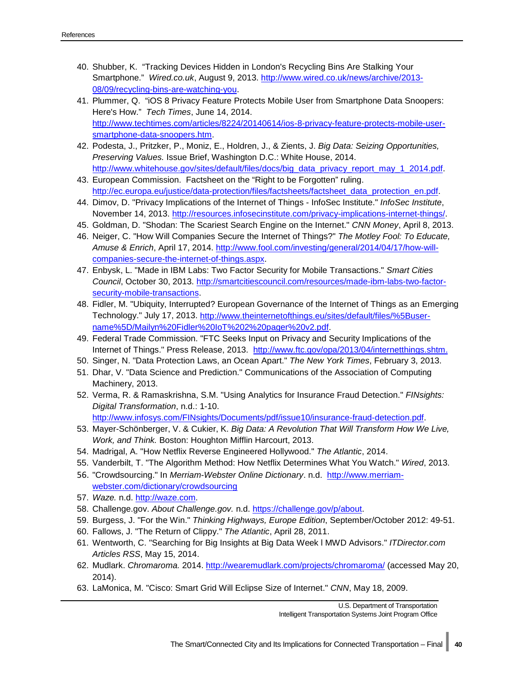- 40. Shubber, K. "Tracking Devices Hidden in London's Recycling Bins Are Stalking Your Smartphone." *Wired.co.uk*, August 9, 2013. [http://www.wired.co.uk/news/archive/2013-](http://www.wired.co.uk/news/archive/2013-08/09/recycling-bins-are-watching-you) [08/09/recycling-bins-are-watching-you.](http://www.wired.co.uk/news/archive/2013-08/09/recycling-bins-are-watching-you)
- 41. Plummer, Q. "iOS 8 Privacy Feature Protects Mobile User from Smartphone Data Snoopers: Here's How." *Tech Times*, June 14, 2014. [http://www.techtimes.com/articles/8224/20140614/ios-8-privacy-feature-protects-mobile-user](http://www.techtimes.com/articles/8224/20140614/ios-8-privacy-feature-protects-mobile-user-smartphone-data-snoopers.htm)[smartphone-data-snoopers.htm.](http://www.techtimes.com/articles/8224/20140614/ios-8-privacy-feature-protects-mobile-user-smartphone-data-snoopers.htm)
- 42. Podesta, J., Pritzker, P., Moniz, E., Holdren, J., & Zients, J. *Big Data: Seizing Opportunities, Preserving Values.* Issue Brief, Washington D.C.: White House, 2014. [http://www.whitehouse.gov/sites/default/files/docs/big\\_data\\_privacy\\_report\\_may\\_1\\_2014.pdf.](http://www.whitehouse.gov/sites/default/files/docs/big_data_privacy_report_may_1_2014.pdf)
- 43. European Commission. Factsheet on the "Right to be Forgotten" ruling. [http://ec.europa.eu/justice/data-protection/files/factsheets/factsheet\\_data\\_protection\\_en.pdf.](http://ec.europa.eu/justice/data-protection/files/factsheets/factsheet_data_protection_en.pdf)
- 44. Dimov, D. "Privacy Implications of the Internet of Things InfoSec Institute." *InfoSec Institute*, November 14, 2013. [http://resources.infosecinstitute.com/privacy-implications-internet-things/.](http://resources.infosecinstitute.com/privacy-implications-internet-things/)
- 45. Goldman, D. "Shodan: The Scariest Search Engine on the Internet." *CNN Money*, April 8, 2013.
- 46. Neiger, C. "How Will Companies Secure the Internet of Things?" *The Motley Fool: To Educate, Amuse & Enrich*, April 17, 2014. [http://www.fool.com/investing/general/2014/04/17/how-will](http://www.fool.com/investing/general/2014/04/17/how-will-companies-secure-the-internet-of-things.aspx)[companies-secure-the-internet-of-things.aspx.](http://www.fool.com/investing/general/2014/04/17/how-will-companies-secure-the-internet-of-things.aspx)
- 47. Enbysk, L. "Made in IBM Labs: Two Factor Security for Mobile Transactions." *Smart Cities Council*, October 30, 2013. [http://smartcitiescouncil.com/resources/made-ibm-labs-two-factor](http://smartcitiescouncil.com/resources/made-ibm-labs-two-factor-security-mobile-transactions)[security-mobile-transactions.](http://smartcitiescouncil.com/resources/made-ibm-labs-two-factor-security-mobile-transactions)
- 48. Fidler, M. "Ubiquity, Interrupted? European Governance of the Internet of Things as an Emerging Technology." July 17, 2013. [http://www.theinternetofthings.eu/sites/default/files/%5Buser](http://www.theinternetofthings.eu/sites/default/files/%5Buser-name%5D/Mailyn%20Fidler%20IoT%202%20pager%20v2.pdf)[name%5D/Mailyn%20Fidler%20IoT%202%20pager%20v2.pdf.](http://www.theinternetofthings.eu/sites/default/files/%5Buser-name%5D/Mailyn%20Fidler%20IoT%202%20pager%20v2.pdf)
- 49. Federal Trade Commission. "FTC Seeks Input on Privacy and Security Implications of the Internet of Things." Press Release, 2013. [http://www.ftc.gov/opa/2013/04/internetthings.shtm.](http://www.ftc.gov/opa/2013/04/internetthings.shtm)
- 50. Singer, N. "Data Protection Laws, an Ocean Apart." *The New York Times*, February 3, 2013.
- 51. Dhar, V. "Data Science and Prediction." Communications of the Association of Computing Machinery, 2013.
- 52. Verma, R. & Ramaskrishna, S.M. "Using Analytics for Insurance Fraud Detection." *FINsights: Digital Transformation*, n.d.: 1-10.
	- [http://www.infosys.com/FINsights/Documents/pdf/issue10/insurance-fraud-detection.pdf.](http://www.infosys.com/FINsights/Documents/pdf/issue10/insurance-fraud-detection.pdf)
- 53. Mayer-Schönberger, V. & Cukier, K. *Big Data: A Revolution That Will Transform How We Live, Work, and Think.* Boston: Houghton Mifflin Harcourt, 2013.
- 54. Madrigal, A. "How Netflix Reverse Engineered Hollywood." *The Atlantic*, 2014.
- 55. Vanderbilt, T. "The Algorithm Method: How Netflix Determines What You Watch." *Wired*, 2013.
- 56. "Crowdsourcing." In *Merriam-Webster Online Dictionary*. n.d. [http://www.merriam](http://www.merriam-webster.com/dictionary/crowdsourcing)[webster.com/dictionary/crowdsourcing](http://www.merriam-webster.com/dictionary/crowdsourcing)
- 57. *Waze.* n.d. [http://waze.com.](http://waze.com/)
- 58. Challenge.gov. *About Challenge.gov.* n.d. [https://challenge.gov/p/about.](https://challenge.gov/p/about)
- 59. Burgess, J. "For the Win." *Thinking Highways, Europe Edition*, September/October 2012: 49-51.
- 60. Fallows, J. "The Return of Clippy." *The Atlantic*, April 28, 2011.
- 61. Wentworth, C. "Searching for Big Insights at Big Data Week l MWD Advisors." *ITDirector.com Articles RSS*, May 15, 2014.
- 62. Mudlark. *Chromaroma.* 2014.<http://wearemudlark.com/projects/chromaroma/> (accessed May 20, 2014).
- 63. LaMonica, M. "Cisco: Smart Grid Will Eclipse Size of Internet." *CNN*, May 18, 2009.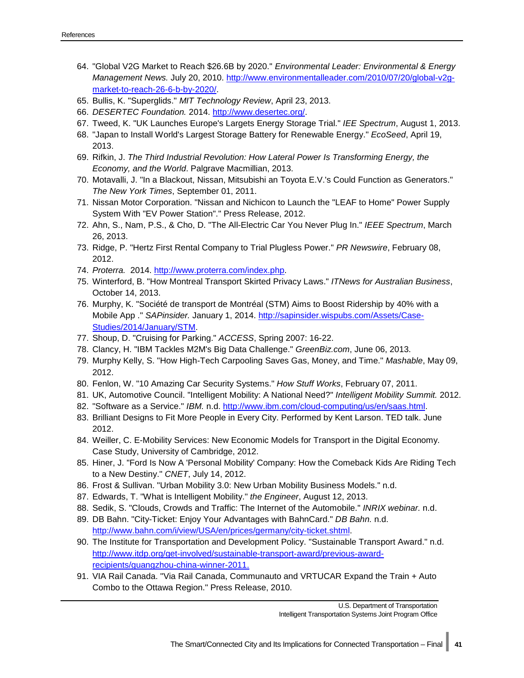- 64. "Global V2G Market to Reach \$26.6B by 2020." *Environmental Leader: Environmental & Energy Management News.* July 20, 2010. [http://www.environmentalleader.com/2010/07/20/global-v2g](http://www.environmentalleader.com/2010/07/20/global-v2g-market-to-reach-26-6-b-by-2020/)[market-to-reach-26-6-b-by-2020/.](http://www.environmentalleader.com/2010/07/20/global-v2g-market-to-reach-26-6-b-by-2020/)
- 65. Bullis, K. "Superglids." *MIT Technology Review*, April 23, 2013.
- 66. *DESERTEC Foundation.* 2014. [http://www.desertec.org/.](http://www.desertec.org/)
- 67. Tweed, K. "UK Launches Europe's Largets Energy Storage Trial." *IEE Spectrum*, August 1, 2013.
- 68. "Japan to Install World's Largest Storage Battery for Renewable Energy." *EcoSeed*, April 19, 2013.
- 69. Rifkin, J. *The Third Industrial Revolution: How Lateral Power Is Transforming Energy, the Economy, and the World*. Palgrave Macmillian, 2013.
- 70. Motavalli, J. "In a Blackout, Nissan, Mitsubishi an Toyota E.V.'s Could Function as Generators." *The New York Times*, September 01, 2011.
- 71. Nissan Motor Corporation. "Nissan and Nichicon to Launch the "LEAF to Home" Power Supply System With "EV Power Station"." Press Release, 2012.
- 72. Ahn, S., Nam, P.S., & Cho, D. "The All-Electric Car You Never Plug In." *IEEE Spectrum*, March 26, 2013.
- 73. Ridge, P. "Hertz First Rental Company to Trial Plugless Power." *PR Newswire*, February 08, 2012.
- 74. *Proterra.* 2014. [http://www.proterra.com/index.php.](http://www.proterra.com/index.php)
- 75. Winterford, B. "How Montreal Transport Skirted Privacy Laws." *ITNews for Australian Business*, October 14, 2013.
- 76. Murphy, K. "Société de transport de Montréal (STM) Aims to Boost Ridership by 40% with a Mobile App ." *SAPinsider.* January 1, 2014. [http://sapinsider.wispubs.com/Assets/Case-](http://sapinsider.wispubs.com/Assets/Case-Studies/2014/January/STM)[Studies/2014/January/STM.](http://sapinsider.wispubs.com/Assets/Case-Studies/2014/January/STM)
- 77. Shoup, D. "Cruising for Parking." *ACCESS*, Spring 2007: 16-22.
- 78. Clancy, H. "IBM Tackles M2M's Big Data Challenge." *GreenBiz.com*, June 06, 2013.
- 79. Murphy Kelly, S. "How High-Tech Carpooling Saves Gas, Money, and Time." *Mashable*, May 09, 2012.
- 80. Fenlon, W. "10 Amazing Car Security Systems." *How Stuff Works*, February 07, 2011.
- 81. UK, Automotive Council. "Intelligent Mobility: A National Need?" *Intelligent Mobility Summit.* 2012.
- 82. "Software as a Service." *IBM.* n.d. [http://www.ibm.com/cloud-computing/us/en/saas.html.](http://www.ibm.com/cloud-computing/us/en/saas.html)
- 83. Brilliant Designs to Fit More People in Every City. Performed by Kent Larson. TED talk. June 2012.
- 84. Weiller, C. E-Mobility Services: New Economic Models for Transport in the Digital Economy. Case Study, University of Cambridge, 2012.
- 85. Hiner, J. "Ford Is Now A 'Personal Mobility' Company: How the Comeback Kids Are Riding Tech to a New Destiny." *CNET*, July 14, 2012.
- 86. Frost & Sullivan. "Urban Mobility 3.0: New Urban Mobility Business Models." n.d.
- 87. Edwards, T. "What is Intelligent Mobility." *the Engineer*, August 12, 2013.
- 88. Sedik, S. "Clouds, Crowds and Traffic: The Internet of the Automobile." *INRIX webinar.* n.d.
- 89. DB Bahn. "City-Ticket: Enjoy Your Advantages with BahnCard." *DB Bahn.* n.d. [http://www.bahn.com/i/view/USA/en/prices/germany/city-ticket.shtml.](http://www.bahn.com/i/view/USA/en/prices/germany/city-ticket.shtml)
- 90. The Institute for Transportation and Development Policy. "Sustainable Transport Award." n.d. [http://www.itdp.org/get-involved/sustainable-transport-award/previous-award](http://www.itdp.org/get-involved/sustainable-transport-award/previous-award-recipients/guangzhou-china-winner-2011)[recipients/guangzhou-china-winner-2011.](http://www.itdp.org/get-involved/sustainable-transport-award/previous-award-recipients/guangzhou-china-winner-2011)
- 91. VIA Rail Canada. "Via Rail Canada, Communauto and VRTUCAR Expand the Train + Auto Combo to the Ottawa Region." Press Release, 2010.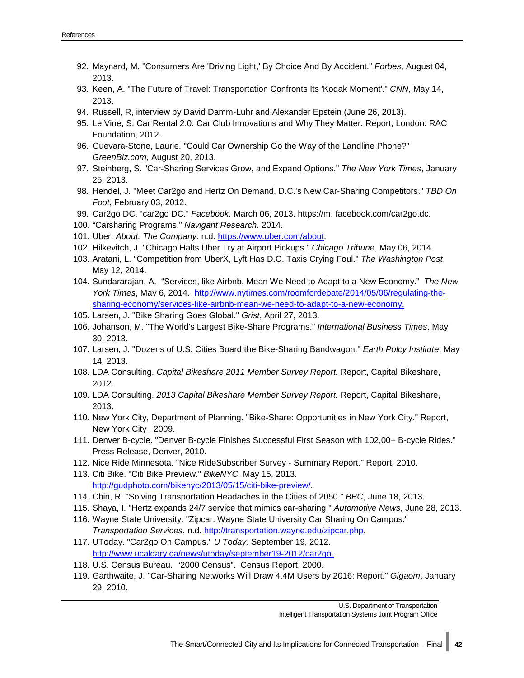- 92. Maynard, M. "Consumers Are 'Driving Light,' By Choice And By Accident." *Forbes*, August 04, 2013.
- 93. Keen, A. "The Future of Travel: Transportation Confronts Its 'Kodak Moment'." *CNN*, May 14, 2013.
- 94. Russell, R, interview by David Damm-Luhr and Alexander Epstein (June 26, 2013).
- 95. Le Vine, S. Car Rental 2.0: Car Club Innovations and Why They Matter. Report, London: RAC Foundation, 2012.
- 96. Guevara-Stone, Laurie. "Could Car Ownership Go the Way of the Landline Phone?" *GreenBiz.com*, August 20, 2013.
- 97. Steinberg, S. "Car-Sharing Services Grow, and Expand Options." *The New York Times*, January 25, 2013.
- 98. Hendel, J. "Meet Car2go and Hertz On Demand, D.C.'s New Car-Sharing Competitors." *TBD On Foot*, February 03, 2012.
- 99. Car2go DC. "car2go DC." *Facebook*. March 06, 2013. https://m. facebook.com/car2go.dc.
- 100. "Carsharing Programs." *Navigant Research*. 2014.
- 101. Uber. *About: The Company.* n.d. [https://www.uber.com/about.](https://www.uber.com/about)
- 102. Hilkevitch, J. "Chicago Halts Uber Try at Airport Pickups." *Chicago Tribune*, May 06, 2014.
- 103. Aratani, L. "Competition from UberX, Lyft Has D.C. Taxis Crying Foul." *The Washington Post*, May 12, 2014.
- 104. Sundararajan, A. "Services, like Airbnb, Mean We Need to Adapt to a New Economy." *The New York Times*, May 6, 2014. [http://www.nytimes.com/roomfordebate/2014/05/06/regulating-the](http://www.nytimes.com/roomfordebate/2014/05/06/regulating-the-sharing-economy/services-like-airbnb-mean-we-need-to-adapt-to-a-new-economy)[sharing-economy/services-like-airbnb-mean-we-need-to-adapt-to-a-new-economy.](http://www.nytimes.com/roomfordebate/2014/05/06/regulating-the-sharing-economy/services-like-airbnb-mean-we-need-to-adapt-to-a-new-economy)
- 105. Larsen, J. "Bike Sharing Goes Global." *Grist*, April 27, 2013.
- 106. Johanson, M. "The World's Largest Bike-Share Programs." *International Business Times*, May 30, 2013.
- 107. Larsen, J. "Dozens of U.S. Cities Board the Bike-Sharing Bandwagon." *Earth Polcy Institute*, May 14, 2013.
- 108. LDA Consulting. *Capital Bikeshare 2011 Member Survey Report.* Report, Capital Bikeshare, 2012.
- 109. LDA Consulting. *2013 Capital Bikeshare Member Survey Report.* Report, Capital Bikeshare, 2013.
- 110. New York City, Department of Planning. "Bike-Share: Opportunities in New York City." Report, New York City , 2009.
- 111. Denver B-cycle. "Denver B-cycle Finishes Successful First Season with 102,00+ B-cycle Rides." Press Release, Denver, 2010.
- 112. Nice Ride Minnesota. "Nice RideSubscriber Survey Summary Report." Report, 2010.
- 113. Citi Bike. "Citi Bike Preview." *BikeNYC.* May 15, 2013. [http://gudphoto.com/bikenyc/2013/05/15/citi-bike-preview/.](http://gudphoto.com/bikenyc/2013/05/15/citi-bike-preview/)
- 114. Chin, R. "Solving Transportation Headaches in the Cities of 2050." *BBC*, June 18, 2013.
- 115. Shaya, I. "Hertz expands 24/7 service that mimics car-sharing." *Automotive News*, June 28, 2013.
- 116. Wayne State University. "Zipcar: Wayne State University Car Sharing On Campus." *Transportation Services.* n.d. [http://transportation.wayne.edu/zipcar.php.](http://transportation.wayne.edu/zipcar.php)
- 117. UToday. "Car2go On Campus." *U Today.* September 19, 2012. [http://www.ucalgary.ca/news/utoday/september19-2012/car2go.](http://www.ucalgary.ca/news/utoday/september19-2012/car2go)
- 118. U.S. Census Bureau. "2000 Census". Census Report, 2000.
- 119. Garthwaite, J. "Car-Sharing Networks Will Draw 4.4M Users by 2016: Report." *Gigaom*, January 29, 2010.

U.S. Department of Transportation

Intelligent Transportation Systems Joint Program Office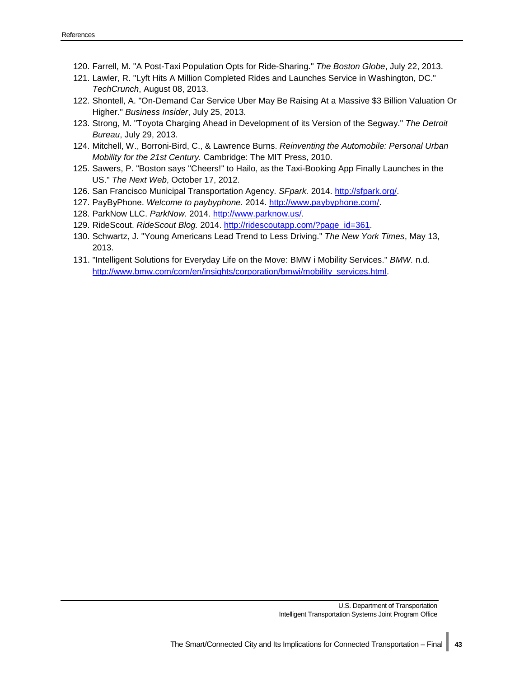- 120. Farrell, M. "A Post-Taxi Population Opts for Ride-Sharing." *The Boston Globe*, July 22, 2013.
- 121. Lawler, R. "Lyft Hits A Million Completed Rides and Launches Service in Washington, DC." *TechCrunch*, August 08, 2013.
- 122. Shontell, A. "On-Demand Car Service Uber May Be Raising At a Massive \$3 Billion Valuation Or Higher." *Business Insider*, July 25, 2013.
- 123. Strong, M. "Toyota Charging Ahead in Development of its Version of the Segway." *The Detroit Bureau*, July 29, 2013.
- 124. Mitchell, W., Borroni-Bird, C., & Lawrence Burns. *Reinventing the Automobile: Personal Urban Mobility for the 21st Century.* Cambridge: The MIT Press, 2010.
- 125. Sawers, P. "Boston says "Cheers!" to Hailo, as the Taxi-Booking App Finally Launches in the US." *The Next Web*, October 17, 2012.
- 126. San Francisco Municipal Transportation Agency. *SFpark.* 2014. [http://sfpark.org/.](http://sfpark.org/)
- 127. PayByPhone. *Welcome to paybyphone.* 2014. [http://www.paybyphone.com/.](http://www.paybyphone.com/)
- 128. ParkNow LLC. *ParkNow.* 2014. [http://www.parknow.us/.](http://www.parknow.us/)
- 129. RideScout. *RideScout Blog.* 2014. [http://ridescoutapp.com/?page\\_id=361.](http://ridescoutapp.com/?page_id=361)
- 130. Schwartz, J. "Young Americans Lead Trend to Less Driving." *The New York Times*, May 13, 2013.
- 131. "Intelligent Solutions for Everyday Life on the Move: BMW i Mobility Services." *BMW.* n.d. [http://www.bmw.com/com/en/insights/corporation/bmwi/mobility\\_services.html.](http://www.bmw.com/com/en/insights/corporation/bmwi/mobility_services.html)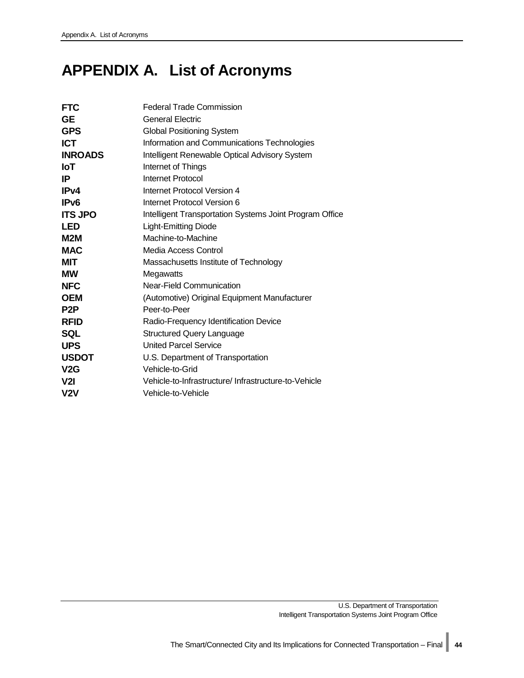## <span id="page-49-0"></span>**APPENDIX A. List of Acronyms**

| <b>FTC</b>       | <b>Federal Trade Commission</b>                         |
|------------------|---------------------------------------------------------|
| <b>GE</b>        | <b>General Electric</b>                                 |
| <b>GPS</b>       | <b>Global Positioning System</b>                        |
| <b>ICT</b>       | Information and Communications Technologies             |
| <b>INROADS</b>   | Intelligent Renewable Optical Advisory System           |
| loT              | Internet of Things                                      |
| IP               | Internet Protocol                                       |
| IPv4             | Internet Protocol Version 4                             |
| IP <sub>v6</sub> | Internet Protocol Version 6                             |
| <b>ITS JPO</b>   | Intelligent Transportation Systems Joint Program Office |
| <b>LED</b>       | <b>Light-Emitting Diode</b>                             |
| M2M              | Machine-to-Machine                                      |
| <b>MAC</b>       | Media Access Control                                    |
| <b>MIT</b>       | Massachusetts Institute of Technology                   |
| <b>MW</b>        | Megawatts                                               |
| <b>NFC</b>       | Near-Field Communication                                |
| <b>OEM</b>       | (Automotive) Original Equipment Manufacturer            |
| P <sub>2</sub> P | Peer-to-Peer                                            |
| <b>RFID</b>      | Radio-Frequency Identification Device                   |
| <b>SQL</b>       | <b>Structured Query Language</b>                        |
| <b>UPS</b>       | <b>United Parcel Service</b>                            |
| <b>USDOT</b>     | U.S. Department of Transportation                       |
| V2G              | Vehicle-to-Grid                                         |
| V2I              | Vehicle-to-Infrastructure/ Infrastructure-to-Vehicle    |
| V2V              | Vehicle-to-Vehicle                                      |
|                  |                                                         |

U.S. Department of Transportation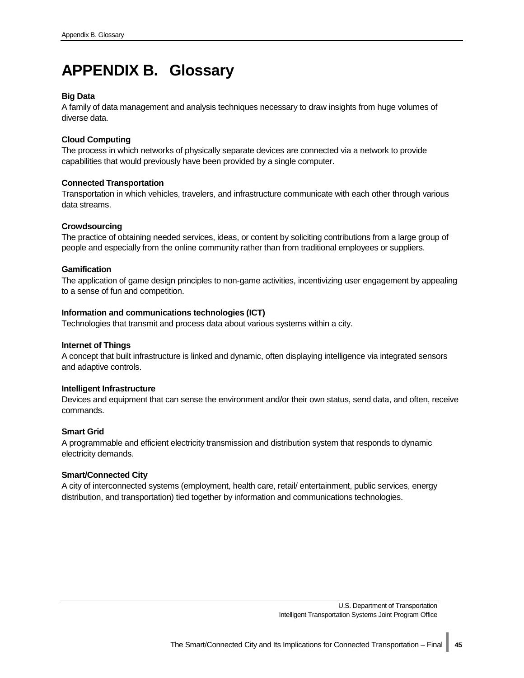## <span id="page-50-0"></span>**APPENDIX B. Glossary**

#### **Big Data**

A family of data management and analysis techniques necessary to draw insights from huge volumes of diverse data.

#### **Cloud Computing**

The process in which networks of physically separate devices are connected via a network to provide capabilities that would previously have been provided by a single computer.

#### **Connected Transportation**

Transportation in which vehicles, travelers, and infrastructure communicate with each other through various data streams.

#### **Crowdsourcing**

The practice of obtaining needed services, ideas, or content by soliciting contributions from a large group of people and especially from the online community rather than from traditional employees or suppliers.

#### **Gamification**

The application of game design principles to non-game activities, incentivizing user engagement by appealing to a sense of fun and competition.

#### **Information and communications technologies (ICT)**

Technologies that transmit and process data about various systems within a city.

#### **Internet of Things**

A concept that built infrastructure is linked and dynamic, often displaying intelligence via integrated sensors and adaptive controls.

#### **Intelligent Infrastructure**

Devices and equipment that can sense the environment and/or their own status, send data, and often, receive commands.

#### **Smart Grid**

A programmable and efficient electricity transmission and distribution system that responds to dynamic electricity demands.

#### **Smart/Connected City**

A city of interconnected systems (employment, health care, retail/ entertainment, public services, energy distribution, and transportation) tied together by information and communications technologies.